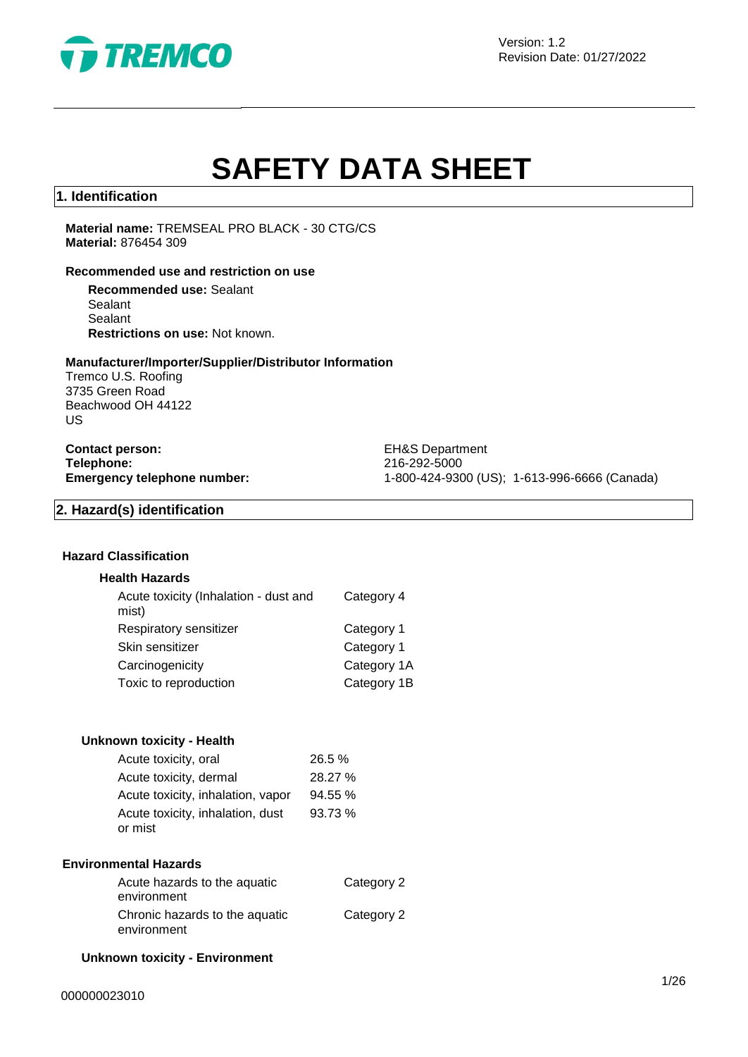

Version: 1.2 Revision Date: 01/27/2022

# **SAFETY DATA SHEET**

# **1. Identification**

**Material name:** TREMSEAL PRO BLACK - 30 CTG/CS **Material:** 876454 309

## **Recommended use and restriction on use**

**Recommended use:** Sealant Sealant Sealant **Restrictions on use:** Not known.

#### **Manufacturer/Importer/Supplier/Distributor Information**

Tremco U.S. Roofing 3735 Green Road Beachwood OH 44122 US

**Contact person:** EH&S Department **Telephone:** 216-292-5000<br> **Emergency telephone number:** 216-292-5000<br>
21-800-424-930

**Emergency telephone number:** 1-800-424-9300 (US); 1-613-996-6666 (Canada)

# **2. Hazard(s) identification**

# **Hazard Classification**

### **Health Hazards**

| Acute toxicity (Inhalation - dust and<br>mist) | Category 4  |
|------------------------------------------------|-------------|
| Respiratory sensitizer                         | Category 1  |
| Skin sensitizer                                | Category 1  |
| Carcinogenicity                                | Category 1A |
| Toxic to reproduction                          | Category 1B |
|                                                |             |

# **Unknown toxicity - Health**

| Acute toxicity, oral              | 26.5 %  |
|-----------------------------------|---------|
| Acute toxicity, dermal            | 28.27 % |
| Acute toxicity, inhalation, vapor | 94.55 % |
| Acute toxicity, inhalation, dust  | 93.73 % |
| or mist                           |         |

#### **Environmental Hazards**

| Acute hazards to the aquatic   | Category 2 |
|--------------------------------|------------|
| environment                    |            |
| Chronic hazards to the aquatic | Category 2 |
| environment                    |            |

### **Unknown toxicity - Environment**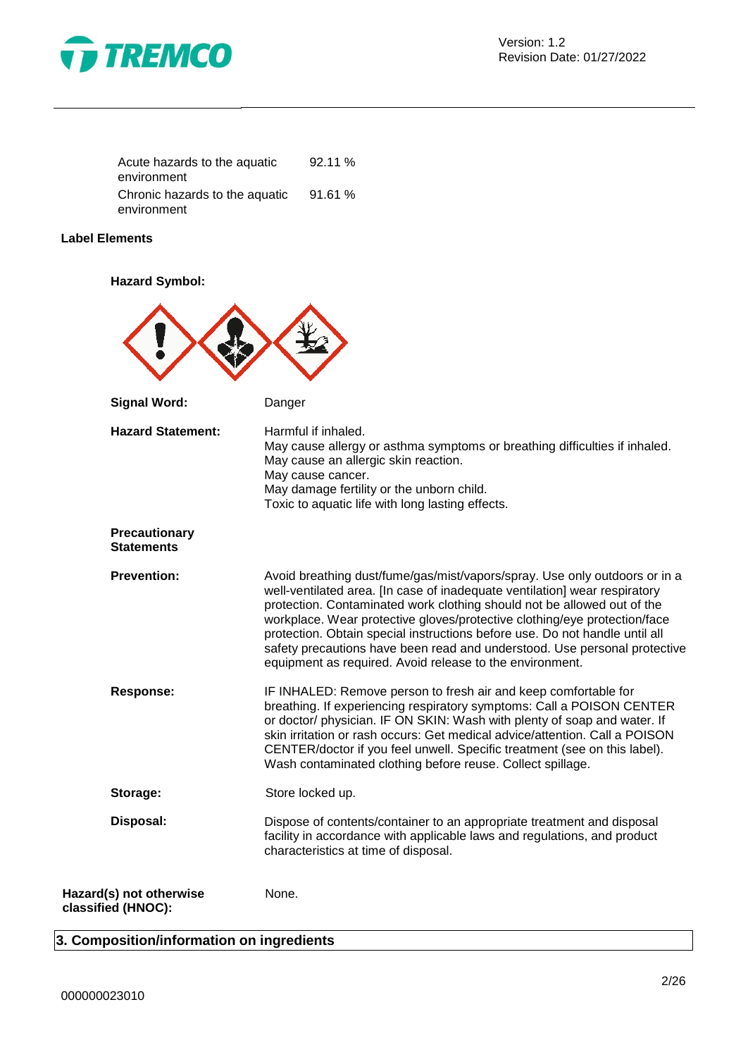

| Acute hazards to the aquatic   | 92.11% |
|--------------------------------|--------|
| environment                    |        |
| Chronic hazards to the aquatic | 91.61% |
| environment                    |        |

# **Label Elements**

**Hazard Symbol:**

| <b>Signal Word:</b>                           | Danger                                                                                                                                                                                                                                                                                                                                                                                                                                                                                                                                   |
|-----------------------------------------------|------------------------------------------------------------------------------------------------------------------------------------------------------------------------------------------------------------------------------------------------------------------------------------------------------------------------------------------------------------------------------------------------------------------------------------------------------------------------------------------------------------------------------------------|
| <b>Hazard Statement:</b>                      | Harmful if inhaled.<br>May cause allergy or asthma symptoms or breathing difficulties if inhaled.<br>May cause an allergic skin reaction.<br>May cause cancer.<br>May damage fertility or the unborn child.<br>Toxic to aquatic life with long lasting effects.                                                                                                                                                                                                                                                                          |
| <b>Precautionary</b><br><b>Statements</b>     |                                                                                                                                                                                                                                                                                                                                                                                                                                                                                                                                          |
| <b>Prevention:</b>                            | Avoid breathing dust/fume/gas/mist/vapors/spray. Use only outdoors or in a<br>well-ventilated area. [In case of inadequate ventilation] wear respiratory<br>protection. Contaminated work clothing should not be allowed out of the<br>workplace. Wear protective gloves/protective clothing/eye protection/face<br>protection. Obtain special instructions before use. Do not handle until all<br>safety precautions have been read and understood. Use personal protective<br>equipment as required. Avoid release to the environment. |
| <b>Response:</b>                              | IF INHALED: Remove person to fresh air and keep comfortable for<br>breathing. If experiencing respiratory symptoms: Call a POISON CENTER<br>or doctor/ physician. IF ON SKIN: Wash with plenty of soap and water. If<br>skin irritation or rash occurs: Get medical advice/attention. Call a POISON<br>CENTER/doctor if you feel unwell. Specific treatment (see on this label).<br>Wash contaminated clothing before reuse. Collect spillage.                                                                                           |
| Storage:                                      | Store locked up.                                                                                                                                                                                                                                                                                                                                                                                                                                                                                                                         |
| Disposal:                                     | Dispose of contents/container to an appropriate treatment and disposal<br>facility in accordance with applicable laws and regulations, and product<br>characteristics at time of disposal.                                                                                                                                                                                                                                                                                                                                               |
| Hazard(s) not otherwise<br>classified (HNOC): | None.                                                                                                                                                                                                                                                                                                                                                                                                                                                                                                                                    |

# **3. Composition/information on ingredients**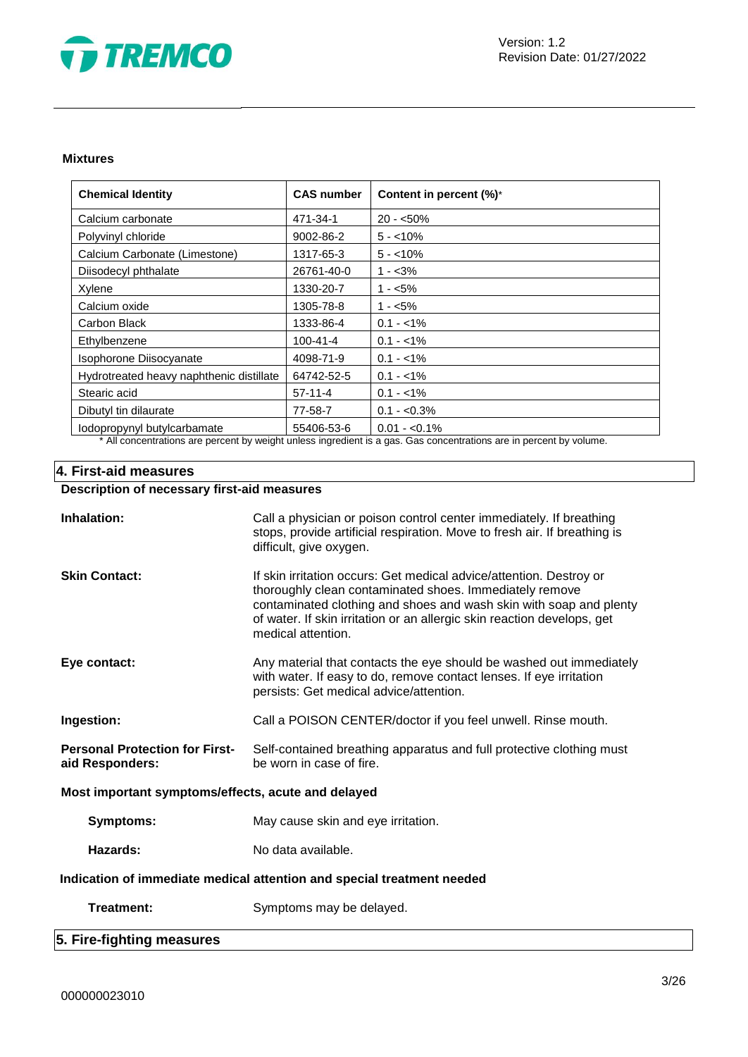

### **Mixtures**

| <b>Chemical Identity</b>                 | <b>CAS number</b> | Content in percent (%)*                                                                                                          |
|------------------------------------------|-------------------|----------------------------------------------------------------------------------------------------------------------------------|
| Calcium carbonate                        | 471-34-1          | $20 - 50\%$                                                                                                                      |
| Polyvinyl chloride                       | 9002-86-2         | $5 - 10\%$                                                                                                                       |
| Calcium Carbonate (Limestone)            | 1317-65-3         | $5 - 10\%$                                                                                                                       |
| Diisodecyl phthalate                     | 26761-40-0        | $1 - 3\%$                                                                                                                        |
| Xylene                                   | 1330-20-7         | $1 - 5\%$                                                                                                                        |
| Calcium oxide                            | 1305-78-8         | $1 - 5\%$                                                                                                                        |
| Carbon Black                             | 1333-86-4         | $0.1 - 1\%$                                                                                                                      |
| Ethylbenzene                             | 100-41-4          | $0.1 - 1\%$                                                                                                                      |
| Isophorone Diisocyanate                  | 4098-71-9         | $0.1 - 1\%$                                                                                                                      |
| Hydrotreated heavy naphthenic distillate | 64742-52-5        | $0.1 - 1\%$                                                                                                                      |
| Stearic acid                             | $57-11-4$         | $0.1 - 1\%$                                                                                                                      |
| Dibutyl tin dilaurate                    | 77-58-7           | $0.1 - 0.3\%$                                                                                                                    |
| lodopropynyl butylcarbamate              | 55406-53-6        | $0.01 - 0.1\%$<br>ada ada dagaalki boolatiikka ookaa ta'uu altakki ta'uu ada ∧aada adaa adaa ka aada ta'uu adaa aa koobaalkii aa |

\* All concentrations are percent by weight unless ingredient is a gas. Gas concentrations are in percent by volume.

# **4. First-aid measures**

# **Description of necessary first-aid measures**

| Inhalation:                                                            | Call a physician or poison control center immediately. If breathing<br>stops, provide artificial respiration. Move to fresh air. If breathing is<br>difficult, give oxygen.                                                                                                                           |
|------------------------------------------------------------------------|-------------------------------------------------------------------------------------------------------------------------------------------------------------------------------------------------------------------------------------------------------------------------------------------------------|
| <b>Skin Contact:</b>                                                   | If skin irritation occurs: Get medical advice/attention. Destroy or<br>thoroughly clean contaminated shoes. Immediately remove<br>contaminated clothing and shoes and wash skin with soap and plenty<br>of water. If skin irritation or an allergic skin reaction develops, get<br>medical attention. |
| Eye contact:                                                           | Any material that contacts the eye should be washed out immediately<br>with water. If easy to do, remove contact lenses. If eye irritation<br>persists: Get medical advice/attention.                                                                                                                 |
| Ingestion:                                                             | Call a POISON CENTER/doctor if you feel unwell. Rinse mouth.                                                                                                                                                                                                                                          |
| <b>Personal Protection for First-</b><br>aid Responders:               | Self-contained breathing apparatus and full protective clothing must<br>be worn in case of fire.                                                                                                                                                                                                      |
| Most important symptoms/effects, acute and delayed                     |                                                                                                                                                                                                                                                                                                       |
| Symptoms:                                                              | May cause skin and eye irritation.                                                                                                                                                                                                                                                                    |
| Hazards:                                                               | No data available.                                                                                                                                                                                                                                                                                    |
| Indication of immediate medical attention and special treatment needed |                                                                                                                                                                                                                                                                                                       |
| Treatment:                                                             | Symptoms may be delayed.                                                                                                                                                                                                                                                                              |

# **5. Fire-fighting measures**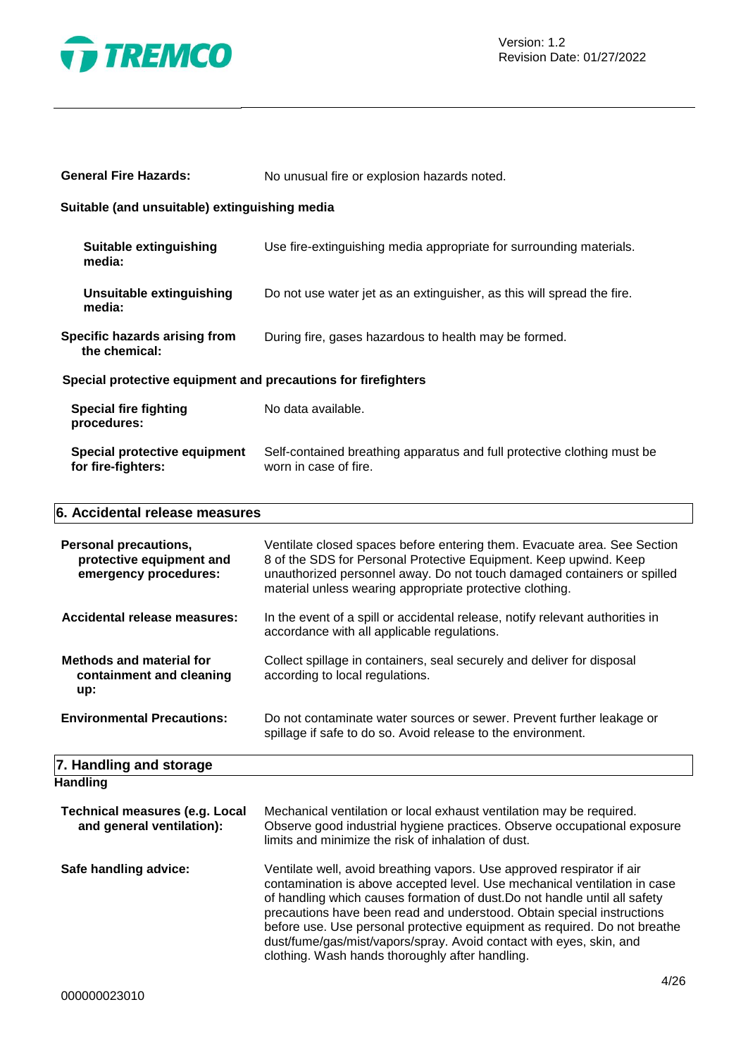

| <b>General Fire Hazards:</b>                                                      | No unusual fire or explosion hazards noted.                                                                                                                                                                                                                                          |
|-----------------------------------------------------------------------------------|--------------------------------------------------------------------------------------------------------------------------------------------------------------------------------------------------------------------------------------------------------------------------------------|
| Suitable (and unsuitable) extinguishing media                                     |                                                                                                                                                                                                                                                                                      |
| <b>Suitable extinguishing</b><br>media:                                           | Use fire-extinguishing media appropriate for surrounding materials.                                                                                                                                                                                                                  |
| Unsuitable extinguishing<br>media:                                                | Do not use water jet as an extinguisher, as this will spread the fire.                                                                                                                                                                                                               |
| Specific hazards arising from<br>the chemical:                                    | During fire, gases hazardous to health may be formed.                                                                                                                                                                                                                                |
| Special protective equipment and precautions for firefighters                     |                                                                                                                                                                                                                                                                                      |
| <b>Special fire fighting</b><br>procedures:                                       | No data available.                                                                                                                                                                                                                                                                   |
| <b>Special protective equipment</b><br>for fire-fighters:                         | Self-contained breathing apparatus and full protective clothing must be<br>worn in case of fire.                                                                                                                                                                                     |
| 6. Accidental release measures                                                    |                                                                                                                                                                                                                                                                                      |
| <b>Personal precautions,</b><br>protective equipment and<br>emergency procedures: | Ventilate closed spaces before entering them. Evacuate area. See Section<br>8 of the SDS for Personal Protective Equipment. Keep upwind. Keep<br>unauthorized personnel away. Do not touch damaged containers or spilled<br>material unless wearing appropriate protective clothing. |

| Accidental release measures: | In the event of a spill or accidental release, notify relevant authorities in |
|------------------------------|-------------------------------------------------------------------------------|
|                              | accordance with all applicable regulations.                                   |

spillage if safe to do so. Avoid release to the environment.

| <b>Methods and material for</b> | Collect spillage in containers, seal securely and deliver for disposal |
|---------------------------------|------------------------------------------------------------------------|
| containment and cleaning        | according to local regulations.                                        |
| up:                             |                                                                        |

**Environmental Precautions:** Do not contaminate water sources or sewer. Prevent further leakage or

# **7. Handling and storage**

| Handling                                                           |                                                                                                                                                                                                                                                                                                                                                                                                                                                                                                                    |
|--------------------------------------------------------------------|--------------------------------------------------------------------------------------------------------------------------------------------------------------------------------------------------------------------------------------------------------------------------------------------------------------------------------------------------------------------------------------------------------------------------------------------------------------------------------------------------------------------|
| <b>Technical measures (e.g. Local</b><br>and general ventilation): | Mechanical ventilation or local exhaust ventilation may be required.<br>Observe good industrial hygiene practices. Observe occupational exposure<br>limits and minimize the risk of inhalation of dust.                                                                                                                                                                                                                                                                                                            |
| Safe handling advice:                                              | Ventilate well, avoid breathing vapors. Use approved respirator if air<br>contamination is above accepted level. Use mechanical ventilation in case<br>of handling which causes formation of dust. Do not handle until all safety<br>precautions have been read and understood. Obtain special instructions<br>before use. Use personal protective equipment as required. Do not breathe<br>dust/fume/gas/mist/vapors/spray. Avoid contact with eyes, skin, and<br>clothing. Wash hands thoroughly after handling. |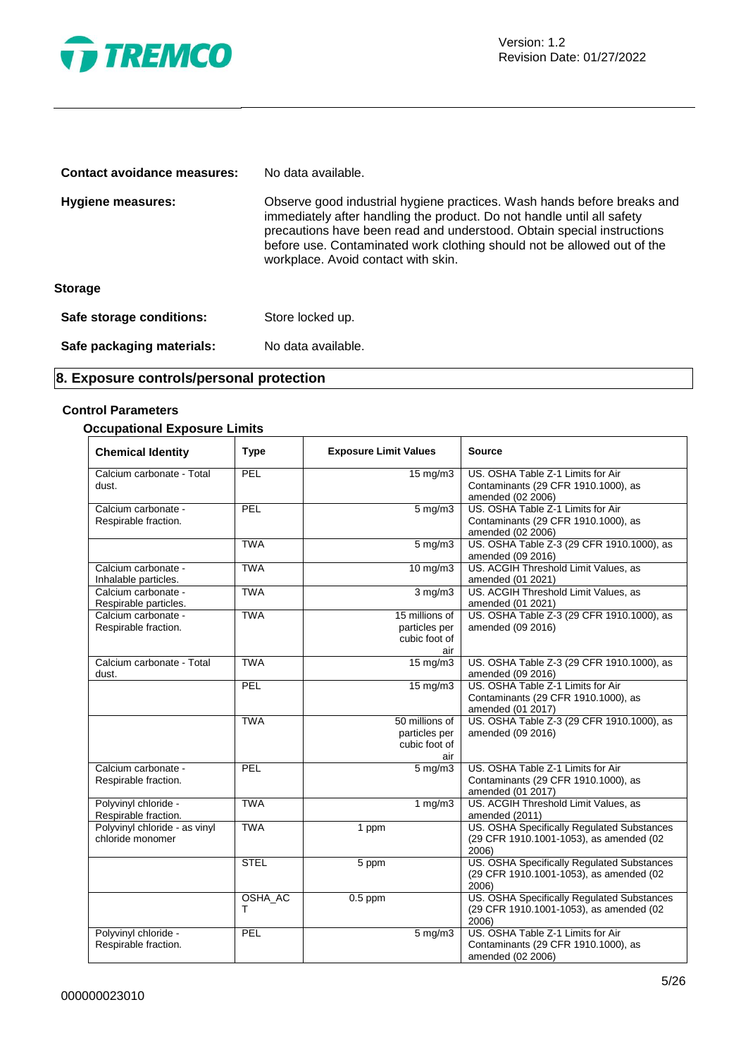

| Contact avoidance measures: | No data available.                                                                                                                                                                                                                                                                                                                            |
|-----------------------------|-----------------------------------------------------------------------------------------------------------------------------------------------------------------------------------------------------------------------------------------------------------------------------------------------------------------------------------------------|
| <b>Hygiene measures:</b>    | Observe good industrial hygiene practices. Wash hands before breaks and<br>immediately after handling the product. Do not handle until all safety<br>precautions have been read and understood. Obtain special instructions<br>before use. Contaminated work clothing should not be allowed out of the<br>workplace. Avoid contact with skin. |
| <b>Storage</b>              |                                                                                                                                                                                                                                                                                                                                               |
| Safe storage conditions:    | Store locked up.                                                                                                                                                                                                                                                                                                                              |
| Safe packaging materials:   | No data available.                                                                                                                                                                                                                                                                                                                            |

# **8. Exposure controls/personal protection**

# **Control Parameters**

# **Occupational Exposure Limits**

| <b>Chemical Identity</b>                          | <b>Type</b>  | <b>Exposure Limit Values</b>                            | <b>Source</b>                                                                                  |
|---------------------------------------------------|--------------|---------------------------------------------------------|------------------------------------------------------------------------------------------------|
| Calcium carbonate - Total<br>dust.                | PEL          | $15 \text{ mg/m}$                                       | US. OSHA Table Z-1 Limits for Air<br>Contaminants (29 CFR 1910.1000), as<br>amended (02 2006)  |
| Calcium carbonate -<br>Respirable fraction.       | PEL          | $5$ mg/m $3$                                            | US. OSHA Table Z-1 Limits for Air<br>Contaminants (29 CFR 1910.1000), as<br>amended (02 2006)  |
|                                                   | <b>TWA</b>   | $5$ mg/m $3$                                            | US. OSHA Table Z-3 (29 CFR 1910.1000), as<br>amended (09 2016)                                 |
| Calcium carbonate -<br>Inhalable particles.       | <b>TWA</b>   | $10 \text{ mg/m}$                                       | US. ACGIH Threshold Limit Values, as<br>amended (01 2021)                                      |
| Calcium carbonate -<br>Respirable particles.      | <b>TWA</b>   | $3 \overline{\mathrm{mg}}$ m3                           | US. ACGIH Threshold Limit Values, as<br>amended (01 2021)                                      |
| Calcium carbonate -<br>Respirable fraction.       | <b>TWA</b>   | 15 millions of<br>particles per<br>cubic foot of<br>air | US. OSHA Table Z-3 (29 CFR 1910.1000), as<br>amended (09 2016)                                 |
| Calcium carbonate - Total<br>dust.                | <b>TWA</b>   | 15 mg/m3                                                | US. OSHA Table Z-3 (29 CFR 1910.1000), as<br>amended (09 2016)                                 |
|                                                   | PEL          | $15 \text{ mg/m}$                                       | US. OSHA Table Z-1 Limits for Air<br>Contaminants (29 CFR 1910.1000), as<br>amended (01 2017)  |
|                                                   | <b>TWA</b>   | 50 millions of<br>particles per<br>cubic foot of<br>air | US. OSHA Table Z-3 (29 CFR 1910.1000), as<br>amended (09 2016)                                 |
| Calcium carbonate -<br>Respirable fraction.       | PEL          | $\overline{5}$ mg/m3                                    | US. OSHA Table Z-1 Limits for Air<br>Contaminants (29 CFR 1910.1000), as<br>amended (01 2017)  |
| Polyvinyl chloride -<br>Respirable fraction.      | <b>TWA</b>   | 1 $mg/m3$                                               | US. ACGIH Threshold Limit Values, as<br>amended (2011)                                         |
| Polyvinyl chloride - as vinyl<br>chloride monomer | <b>TWA</b>   | 1 ppm                                                   | US. OSHA Specifically Regulated Substances<br>(29 CFR 1910.1001-1053), as amended (02<br>2006) |
|                                                   | <b>STEL</b>  | 5 ppm                                                   | US. OSHA Specifically Regulated Substances<br>(29 CFR 1910.1001-1053), as amended (02<br>2006) |
|                                                   | OSHA_AC<br>т | $0.5$ ppm                                               | US. OSHA Specifically Regulated Substances<br>(29 CFR 1910.1001-1053), as amended (02<br>2006) |
| Polyvinyl chloride -<br>Respirable fraction.      | PEL          | $5 \overline{\mathrm{mg}}$ m3                           | US. OSHA Table Z-1 Limits for Air<br>Contaminants (29 CFR 1910.1000), as<br>amended (02 2006)  |

Ξ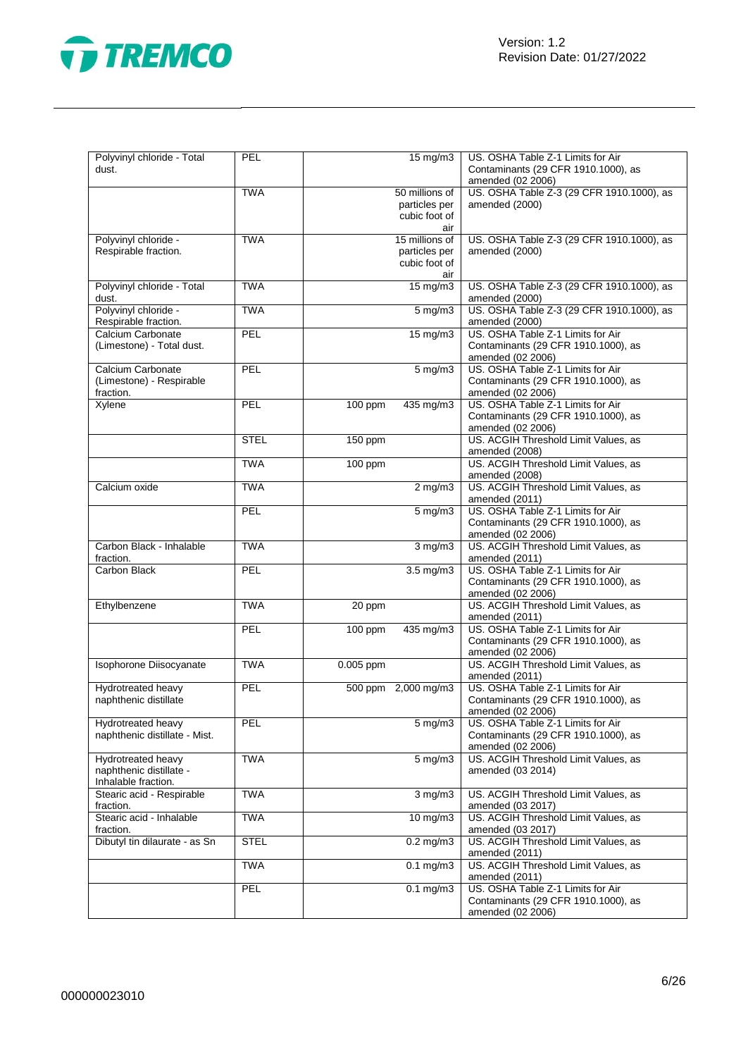

| Polyvinyl chloride - Total<br>dust.                                  | PEL         |           | 15 mg/m3                                                | US. OSHA Table Z-1 Limits for Air<br>Contaminants (29 CFR 1910.1000), as<br>amended (02 2006) |
|----------------------------------------------------------------------|-------------|-----------|---------------------------------------------------------|-----------------------------------------------------------------------------------------------|
|                                                                      | <b>TWA</b>  |           | 50 millions of<br>particles per<br>cubic foot of<br>air | US. OSHA Table Z-3 (29 CFR 1910.1000), as<br>amended (2000)                                   |
| Polyvinyl chloride -<br>Respirable fraction.                         | <b>TWA</b>  |           | 15 millions of<br>particles per<br>cubic foot of<br>air | US. OSHA Table Z-3 (29 CFR 1910.1000), as<br>amended (2000)                                   |
| Polyvinyl chloride - Total<br>dust.                                  | <b>TWA</b>  |           | $15 \text{ mg/m}$                                       | US. OSHA Table Z-3 (29 CFR 1910.1000), as<br>amended (2000)                                   |
| Polyvinyl chloride -<br>Respirable fraction.                         | <b>TWA</b>  |           | $5 \,\mathrm{mg/m}$                                     | US. OSHA Table Z-3 (29 CFR 1910.1000), as<br>amended (2000)                                   |
| Calcium Carbonate<br>(Limestone) - Total dust.                       | PEL         |           | 15 mg/m3                                                | US. OSHA Table Z-1 Limits for Air<br>Contaminants (29 CFR 1910.1000), as<br>amended (02 2006) |
| Calcium Carbonate<br>(Limestone) - Respirable<br>fraction.           | PEL         |           | $5$ mg/m $3$                                            | US. OSHA Table Z-1 Limits for Air<br>Contaminants (29 CFR 1910.1000), as<br>amended (02 2006) |
| Xylene                                                               | PEL         | $100$ ppm | 435 mg/m3                                               | US. OSHA Table Z-1 Limits for Air<br>Contaminants (29 CFR 1910.1000), as<br>amended (02 2006) |
|                                                                      | <b>STEL</b> | 150 ppm   |                                                         | US. ACGIH Threshold Limit Values, as<br>amended (2008)                                        |
|                                                                      | <b>TWA</b>  | 100 ppm   |                                                         | US. ACGIH Threshold Limit Values, as<br>amended (2008)                                        |
| Calcium oxide                                                        | <b>TWA</b>  |           | $2$ mg/m $3$                                            | US. ACGIH Threshold Limit Values, as<br>amended (2011)                                        |
|                                                                      | <b>PEL</b>  |           | 5 mg/m3                                                 | US. OSHA Table Z-1 Limits for Air<br>Contaminants (29 CFR 1910.1000), as<br>amended (02 2006) |
| Carbon Black - Inhalable<br>fraction.                                | <b>TWA</b>  |           | $3$ mg/m $3$                                            | US. ACGIH Threshold Limit Values, as<br>amended (2011)                                        |
| Carbon Black                                                         | PEL         |           | $3.5$ mg/m $3$                                          | US. OSHA Table Z-1 Limits for Air<br>Contaminants (29 CFR 1910.1000), as<br>amended (02 2006) |
| Ethylbenzene                                                         | <b>TWA</b>  | 20 ppm    |                                                         | US. ACGIH Threshold Limit Values, as<br>amended (2011)                                        |
|                                                                      | PEL         | $100$ ppm | 435 mg/m3                                               | US. OSHA Table Z-1 Limits for Air<br>Contaminants (29 CFR 1910.1000), as<br>amended (02 2006) |
| Isophorone Diisocyanate                                              | <b>TWA</b>  | 0.005 ppm |                                                         | US. ACGIH Threshold Limit Values, as<br>amended (2011)                                        |
| Hydrotreated heavy<br>naphthenic distillate                          | PEL         |           | 500 ppm 2,000 mg/m3                                     | US. OSHA Table Z-1 Limits for Air<br>Contaminants (29 CFR 1910.1000), as<br>amended (02 2006) |
| Hydrotreated heavy<br>naphthenic distillate - Mist.                  | PEL         |           | 5 mg/m3                                                 | US. OSHA Table Z-1 Limits for Air<br>Contaminants (29 CFR 1910.1000), as<br>amended (02 2006) |
| Hydrotreated heavy<br>naphthenic distillate -<br>Inhalable fraction. | <b>TWA</b>  |           | $5 \text{ mg/m}$                                        | US. ACGIH Threshold Limit Values, as<br>amended (03 2014)                                     |
| Stearic acid - Respirable<br>fraction.                               | <b>TWA</b>  |           | $3$ mg/m $3$                                            | US. ACGIH Threshold Limit Values, as<br>amended (03 2017)                                     |
| Stearic acid - Inhalable<br>fraction.                                | <b>TWA</b>  |           | $10$ mg/m $3$                                           | US. ACGIH Threshold Limit Values, as<br>amended (03 2017)                                     |
| Dibutyl tin dilaurate - as Sn                                        | <b>STEL</b> |           | $0.2$ mg/m $3$                                          | US. ACGIH Threshold Limit Values, as<br>amended (2011)                                        |
|                                                                      | <b>TWA</b>  |           | $0.1$ mg/m $3$                                          | US. ACGIH Threshold Limit Values, as<br>amended (2011)                                        |
|                                                                      | PEL         |           | $0.1 \text{ mg/m}$ 3                                    | US. OSHA Table Z-1 Limits for Air<br>Contaminants (29 CFR 1910.1000), as<br>amended (02 2006) |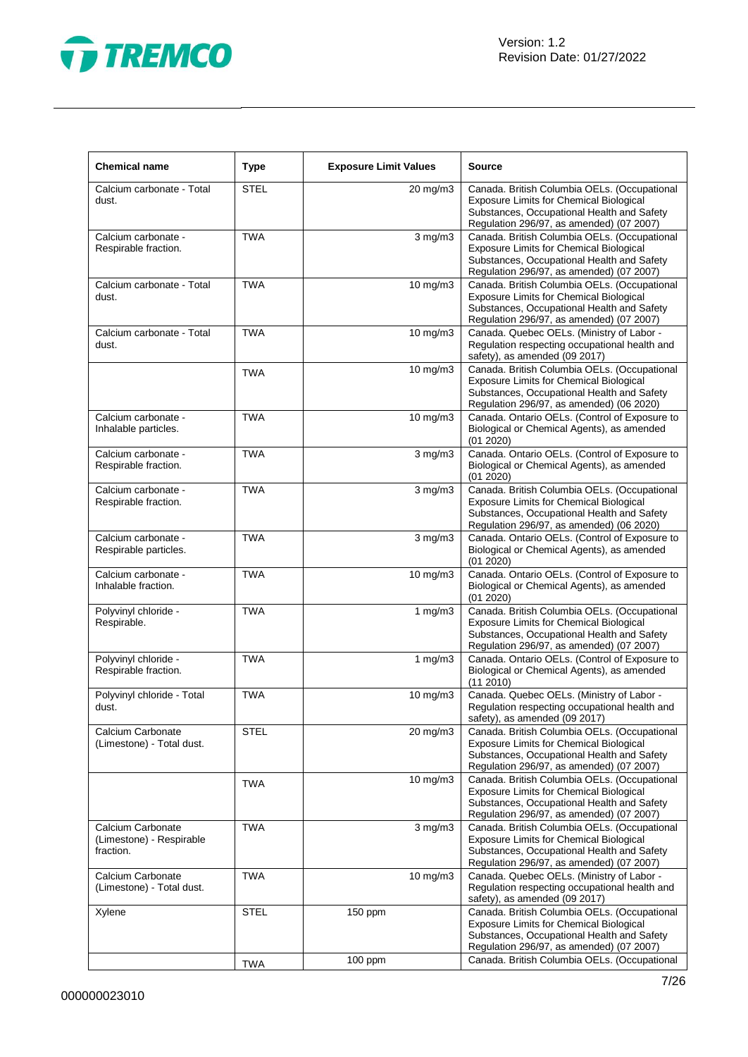

| <b>Chemical name</b>                                       | <b>Type</b> | <b>Exposure Limit Values</b> | <b>Source</b>                                                                                                                                                                            |
|------------------------------------------------------------|-------------|------------------------------|------------------------------------------------------------------------------------------------------------------------------------------------------------------------------------------|
| Calcium carbonate - Total<br>dust.                         | <b>STEL</b> | 20 mg/m3                     | Canada. British Columbia OELs. (Occupational<br><b>Exposure Limits for Chemical Biological</b><br>Substances, Occupational Health and Safety<br>Regulation 296/97, as amended) (07 2007) |
| Calcium carbonate -<br>Respirable fraction.                | <b>TWA</b>  | $3$ mg/m $3$                 | Canada. British Columbia OELs. (Occupational<br><b>Exposure Limits for Chemical Biological</b><br>Substances, Occupational Health and Safety<br>Regulation 296/97, as amended) (07 2007) |
| Calcium carbonate - Total<br>dust.                         | <b>TWA</b>  | 10 mg/m3                     | Canada. British Columbia OELs. (Occupational<br><b>Exposure Limits for Chemical Biological</b><br>Substances, Occupational Health and Safety<br>Regulation 296/97, as amended) (07 2007) |
| Calcium carbonate - Total<br>dust.                         | <b>TWA</b>  | $10 \text{ mg/m}$            | Canada. Quebec OELs. (Ministry of Labor -<br>Regulation respecting occupational health and<br>safety), as amended (09 2017)                                                              |
|                                                            | <b>TWA</b>  | 10 mg/m3                     | Canada. British Columbia OELs. (Occupational<br>Exposure Limits for Chemical Biological<br>Substances, Occupational Health and Safety<br>Regulation 296/97, as amended) (06 2020)        |
| Calcium carbonate -<br>Inhalable particles.                | <b>TWA</b>  | 10 mg/m3                     | Canada. Ontario OELs. (Control of Exposure to<br>Biological or Chemical Agents), as amended<br>(01 2020)                                                                                 |
| Calcium carbonate -<br>Respirable fraction.                | <b>TWA</b>  | $3$ mg/m $3$                 | Canada. Ontario OELs. (Control of Exposure to<br>Biological or Chemical Agents), as amended<br>(01 2020)                                                                                 |
| Calcium carbonate -<br>Respirable fraction.                | <b>TWA</b>  | $3$ mg/m $3$                 | Canada. British Columbia OELs. (Occupational<br><b>Exposure Limits for Chemical Biological</b><br>Substances, Occupational Health and Safety<br>Regulation 296/97, as amended) (06 2020) |
| Calcium carbonate -<br>Respirable particles.               | <b>TWA</b>  | $3$ mg/m $3$                 | Canada. Ontario OELs. (Control of Exposure to<br>Biological or Chemical Agents), as amended<br>(01 2020)                                                                                 |
| Calcium carbonate -<br>Inhalable fraction.                 | <b>TWA</b>  | 10 mg/m3                     | Canada. Ontario OELs. (Control of Exposure to<br>Biological or Chemical Agents), as amended<br>(01 2020)                                                                                 |
| Polyvinyl chloride -<br>Respirable.                        | <b>TWA</b>  | 1 $mg/m3$                    | Canada. British Columbia OELs. (Occupational<br>Exposure Limits for Chemical Biological<br>Substances, Occupational Health and Safety<br>Regulation 296/97, as amended) (07 2007)        |
| Polyvinyl chloride -<br>Respirable fraction.               | <b>TWA</b>  | 1 $mg/m3$                    | Canada. Ontario OELs. (Control of Exposure to<br>Biological or Chemical Agents), as amended<br>(11 2010)                                                                                 |
| Polyvinyl chloride - Total<br>dust.                        | <b>TWA</b>  | 10 mg/m3                     | Canada. Quebec OELs. (Ministry of Labor -<br>Regulation respecting occupational health and<br>safety), as amended $(09\,2017)$                                                           |
| Calcium Carbonate<br>(Limestone) - Total dust.             | STEL        | 20 mg/m3                     | Canada. British Columbia OELs. (Occupational<br><b>Exposure Limits for Chemical Biological</b><br>Substances, Occupational Health and Safety<br>Regulation 296/97, as amended) (07 2007) |
|                                                            | <b>TWA</b>  | $10 \text{ mg/m}$            | Canada. British Columbia OELs. (Occupational<br><b>Exposure Limits for Chemical Biological</b><br>Substances, Occupational Health and Safety<br>Regulation 296/97, as amended) (07 2007) |
| Calcium Carbonate<br>(Limestone) - Respirable<br>fraction. | <b>TWA</b>  | $3$ mg/m $3$                 | Canada. British Columbia OELs. (Occupational<br><b>Exposure Limits for Chemical Biological</b><br>Substances, Occupational Health and Safety<br>Regulation 296/97, as amended) (07 2007) |
| Calcium Carbonate<br>(Limestone) - Total dust.             | <b>TWA</b>  | $10 \text{ mg/m}$            | Canada. Quebec OELs. (Ministry of Labor -<br>Regulation respecting occupational health and<br>safety), as amended (09 2017)                                                              |
| Xylene                                                     | <b>STEL</b> | 150 ppm                      | Canada. British Columbia OELs. (Occupational<br><b>Exposure Limits for Chemical Biological</b><br>Substances, Occupational Health and Safety<br>Regulation 296/97, as amended) (07 2007) |
|                                                            | <b>TWA</b>  | 100 ppm                      | Canada. British Columbia OELs. (Occupational                                                                                                                                             |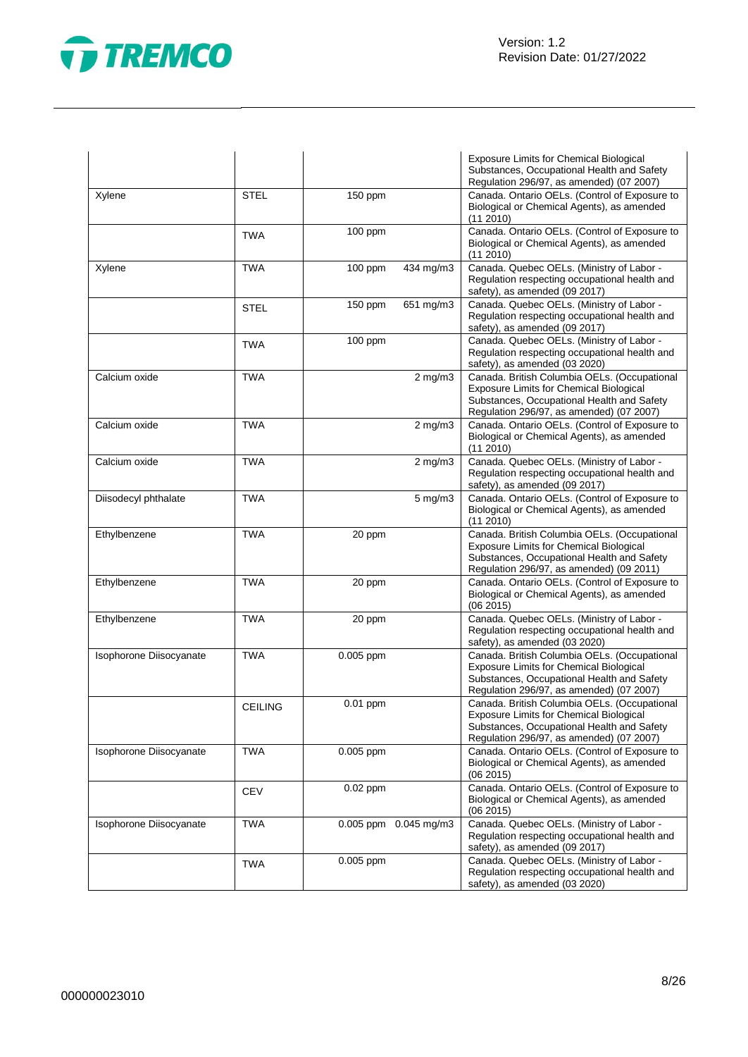



|                         |                |                                                                                                                                             |                       | Exposure Limits for Chemical Biological<br>Substances, Occupational Health and Safety<br>Regulation 296/97, as amended) (07 2007)                                                        |
|-------------------------|----------------|---------------------------------------------------------------------------------------------------------------------------------------------|-----------------------|------------------------------------------------------------------------------------------------------------------------------------------------------------------------------------------|
| Xylene                  | <b>STEL</b>    | 150 ppm                                                                                                                                     |                       | Canada. Ontario OELs. (Control of Exposure to<br>Biological or Chemical Agents), as amended<br>(112010)                                                                                  |
|                         | <b>TWA</b>     | 100 ppm                                                                                                                                     |                       | Canada. Ontario OELs. (Control of Exposure to<br>Biological or Chemical Agents), as amended<br>(11 2010)                                                                                 |
| Xylene                  | <b>TWA</b>     | $100$ ppm                                                                                                                                   | 434 mg/m3             | Canada. Quebec OELs. (Ministry of Labor -<br>Regulation respecting occupational health and<br>safety), as amended (09 2017)                                                              |
|                         | <b>STEL</b>    | 150 ppm                                                                                                                                     | 651 mg/m3             | Canada. Quebec OELs. (Ministry of Labor -<br>Regulation respecting occupational health and<br>safety), as amended (09 2017)                                                              |
|                         | <b>TWA</b>     | 100 ppm                                                                                                                                     |                       | Canada. Quebec OELs. (Ministry of Labor -<br>Regulation respecting occupational health and<br>safety), as amended (03 2020)                                                              |
| Calcium oxide           | <b>TWA</b>     | $2$ mg/m $3$<br>Exposure Limits for Chemical Biological<br>Substances, Occupational Health and Safety                                       |                       | Canada. British Columbia OELs. (Occupational<br>Regulation 296/97, as amended) (07 2007)                                                                                                 |
| Calcium oxide           | <b>TWA</b>     | $2$ mg/m $3$<br>Biological or Chemical Agents), as amended                                                                                  |                       | Canada. Ontario OELs. (Control of Exposure to<br>(11 2010)                                                                                                                               |
| Calcium oxide           | <b>TWA</b>     | Canada. Quebec OELs. (Ministry of Labor -<br>$2$ mg/m $3$<br>Regulation respecting occupational health and<br>safety), as amended (09 2017) |                       |                                                                                                                                                                                          |
| Diisodecyl phthalate    | <b>TWA</b>     | $5$ mg/m $3$<br>Canada. Ontario OELs. (Control of Exposure to<br>Biological or Chemical Agents), as amended<br>(11 2010)                    |                       |                                                                                                                                                                                          |
| Ethylbenzene            | <b>TWA</b>     | 20 ppm                                                                                                                                      |                       | Canada. British Columbia OELs. (Occupational<br><b>Exposure Limits for Chemical Biological</b><br>Substances, Occupational Health and Safety<br>Regulation 296/97, as amended) (09 2011) |
| Ethylbenzene            | <b>TWA</b>     | 20 ppm                                                                                                                                      |                       | Canada. Ontario OELs. (Control of Exposure to<br>Biological or Chemical Agents), as amended<br>(06 2015)                                                                                 |
| Ethylbenzene            | <b>TWA</b>     | 20 ppm                                                                                                                                      |                       | Canada. Quebec OELs. (Ministry of Labor -<br>Regulation respecting occupational health and<br>safety), as amended (03 2020)                                                              |
| Isophorone Diisocyanate | <b>TWA</b>     | 0.005 ppm                                                                                                                                   |                       | Canada. British Columbia OELs. (Occupational<br><b>Exposure Limits for Chemical Biological</b><br>Substances, Occupational Health and Safety<br>Regulation 296/97, as amended) (07 2007) |
|                         | <b>CEILING</b> | $0.01$ ppm                                                                                                                                  |                       | Canada. British Columbia OELs. (Occupational<br>Exposure Limits for Chemical Biological<br>Substances, Occupational Health and Safety<br>Regulation 296/97, as amended) (07 2007)        |
| Isophorone Diisocyanate | <b>TWA</b>     | $0.005$ ppm                                                                                                                                 |                       | Canada. Ontario OELs. (Control of Exposure to<br>Biological or Chemical Agents), as amended<br>(062015)                                                                                  |
|                         | <b>CEV</b>     | $0.02$ ppm                                                                                                                                  |                       | Canada. Ontario OELs. (Control of Exposure to<br>Biological or Chemical Agents), as amended<br>(062015)                                                                                  |
| Isophorone Diisocyanate | <b>TWA</b>     |                                                                                                                                             | 0.005 ppm 0.045 mg/m3 | Canada. Quebec OELs. (Ministry of Labor -<br>Regulation respecting occupational health and<br>safety), as amended (09 2017)                                                              |
|                         | <b>TWA</b>     | 0.005 ppm                                                                                                                                   |                       | Canada. Quebec OELs. (Ministry of Labor -<br>Regulation respecting occupational health and<br>safety), as amended (03 2020)                                                              |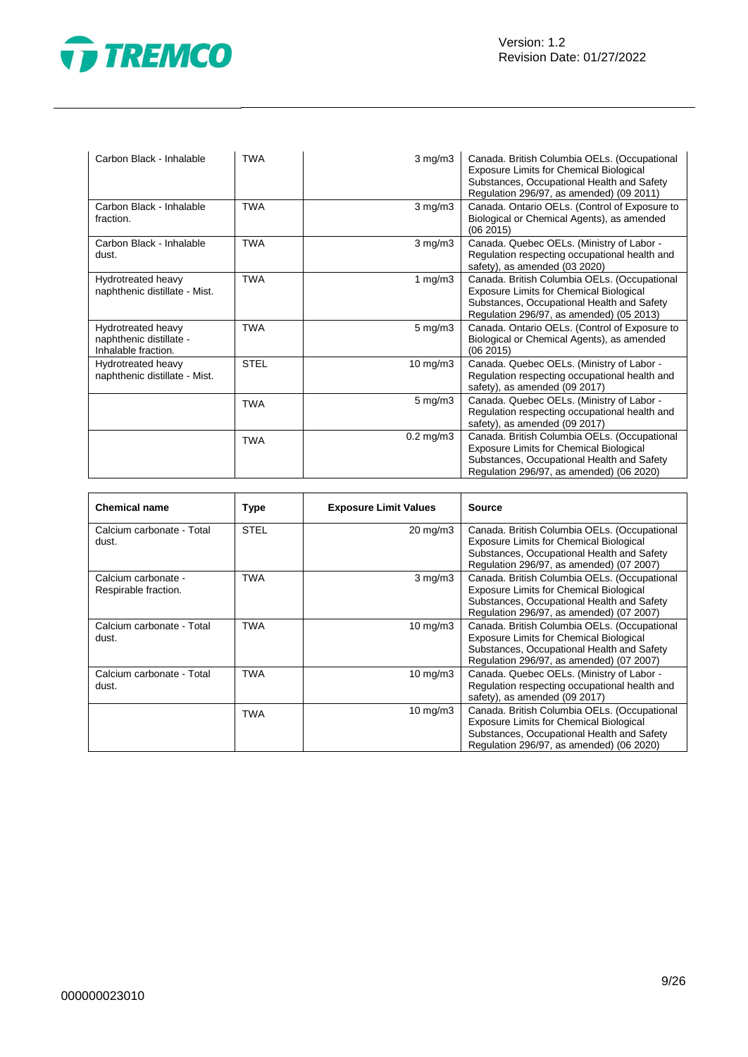

| Carbon Black - Inhalable                                             | <b>TWA</b>  | $3$ mg/m $3$                                                                                                                                    | Canada. British Columbia OELs. (Occupational<br><b>Exposure Limits for Chemical Biological</b><br>Substances, Occupational Health and Safety<br>Regulation 296/97, as amended) (09 2011) |
|----------------------------------------------------------------------|-------------|-------------------------------------------------------------------------------------------------------------------------------------------------|------------------------------------------------------------------------------------------------------------------------------------------------------------------------------------------|
| Carbon Black - Inhalable<br>fraction.                                | <b>TWA</b>  | $3$ mg/m $3$                                                                                                                                    | Canada. Ontario OELs. (Control of Exposure to<br>Biological or Chemical Agents), as amended<br>(062015)                                                                                  |
| Carbon Black - Inhalable<br>dust.                                    | <b>TWA</b>  | Canada. Quebec OELs. (Ministry of Labor -<br>$3 \text{ mg/m}$<br>Regulation respecting occupational health and<br>safety), as amended (03 2020) |                                                                                                                                                                                          |
| Hydrotreated heavy<br>naphthenic distillate - Mist.                  | <b>TWA</b>  | 1 mg/m $3$                                                                                                                                      | Canada. British Columbia OELs. (Occupational<br>Exposure Limits for Chemical Biological<br>Substances, Occupational Health and Safety<br>Regulation 296/97, as amended) (05 2013)        |
| Hydrotreated heavy<br>naphthenic distillate -<br>Inhalable fraction. | <b>TWA</b>  | $5 \text{ mg/m}$ 3                                                                                                                              | Canada. Ontario OELs. (Control of Exposure to<br>Biological or Chemical Agents), as amended<br>(062015)                                                                                  |
| Hydrotreated heavy<br>naphthenic distillate - Mist.                  | <b>STEL</b> | 10 mg/m $3$                                                                                                                                     | Canada. Quebec OELs. (Ministry of Labor -<br>Regulation respecting occupational health and<br>safety), as amended (09 2017)                                                              |
|                                                                      | <b>TWA</b>  | $5 \text{ mg/m}$                                                                                                                                | Canada. Quebec OELs. (Ministry of Labor -<br>Regulation respecting occupational health and<br>safety), as amended (09 2017)                                                              |
|                                                                      | <b>TWA</b>  | $0.2 \text{ mg/m}$ 3                                                                                                                            | Canada. British Columbia OELs. (Occupational<br>Exposure Limits for Chemical Biological<br>Substances, Occupational Health and Safety<br>Regulation 296/97, as amended) (06 2020)        |

| <b>Chemical name</b>                        | Type        | <b>Exposure Limit Values</b> | <b>Source</b>                                                                                                                                                                            |
|---------------------------------------------|-------------|------------------------------|------------------------------------------------------------------------------------------------------------------------------------------------------------------------------------------|
| Calcium carbonate - Total<br>dust.          | <b>STEL</b> | 20 mg/m3                     | Canada. British Columbia OELs. (Occupational<br><b>Exposure Limits for Chemical Biological</b><br>Substances, Occupational Health and Safety<br>Regulation 296/97, as amended) (07 2007) |
| Calcium carbonate -<br>Respirable fraction. | <b>TWA</b>  | $3 \text{ mg/m}$             | Canada. British Columbia OELs. (Occupational<br><b>Exposure Limits for Chemical Biological</b><br>Substances, Occupational Health and Safety<br>Regulation 296/97, as amended) (07 2007) |
| Calcium carbonate - Total<br>dust.          | TWA         | $10 \text{ mg/m}$            | Canada. British Columbia OELs. (Occupational<br><b>Exposure Limits for Chemical Biological</b><br>Substances, Occupational Health and Safety<br>Regulation 296/97, as amended) (07 2007) |
| Calcium carbonate - Total<br>dust.          | TWA         | 10 mg/m $3$                  | Canada. Quebec OELs. (Ministry of Labor -<br>Regulation respecting occupational health and<br>safety), as amended (09 2017)                                                              |
|                                             | <b>TWA</b>  | 10 mg/m $3$                  | Canada. British Columbia OELs. (Occupational<br><b>Exposure Limits for Chemical Biological</b><br>Substances, Occupational Health and Safety<br>Regulation 296/97, as amended) (06 2020) |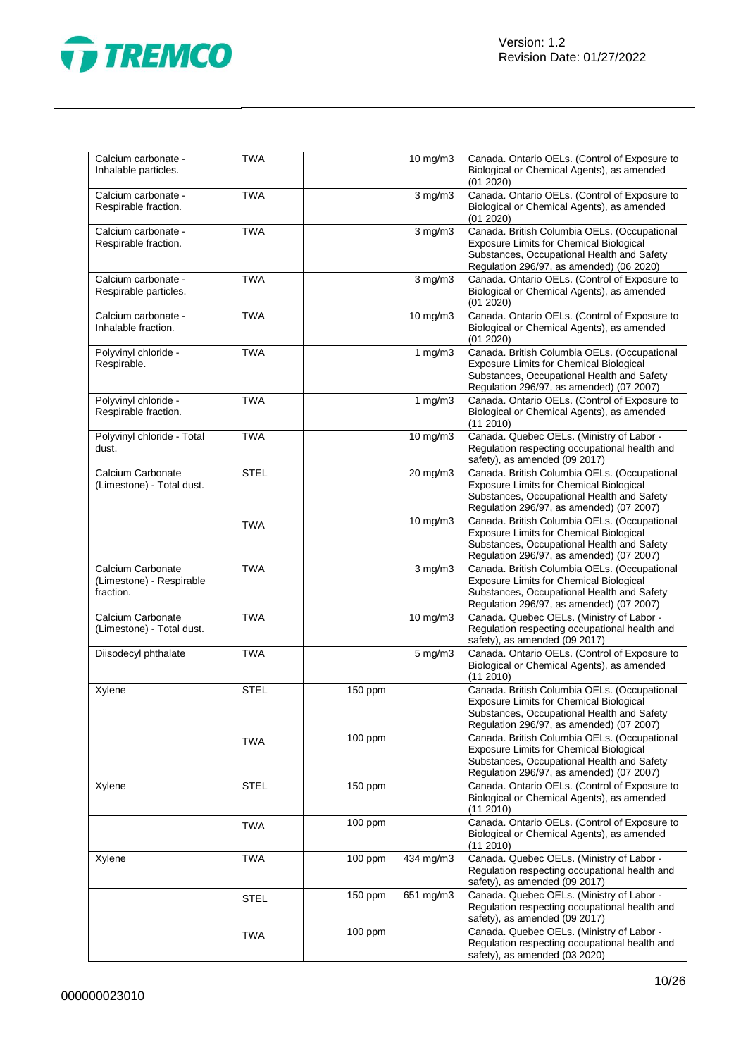

| Calcium carbonate -<br>Inhalable particles.                | <b>TWA</b>  |              | 10 mg/m3     | Canada. Ontario OELs. (Control of Exposure to<br>Biological or Chemical Agents), as amended<br>(01 2020)                                                                                 |
|------------------------------------------------------------|-------------|--------------|--------------|------------------------------------------------------------------------------------------------------------------------------------------------------------------------------------------|
| Calcium carbonate -<br>Respirable fraction.                | <b>TWA</b>  | $3$ mg/m $3$ |              | Canada. Ontario OELs. (Control of Exposure to<br>Biological or Chemical Agents), as amended<br>(01 2020)                                                                                 |
| Calcium carbonate -<br>Respirable fraction.                | <b>TWA</b>  |              | $3$ mg/m $3$ | Canada. British Columbia OELs. (Occupational<br><b>Exposure Limits for Chemical Biological</b><br>Substances, Occupational Health and Safety<br>Regulation 296/97, as amended) (06 2020) |
| Calcium carbonate -<br>Respirable particles.               | <b>TWA</b>  |              | $3$ mg/m $3$ | Canada. Ontario OELs. (Control of Exposure to<br>Biological or Chemical Agents), as amended<br>(01 2020)                                                                                 |
| Calcium carbonate -<br>Inhalable fraction.                 | TWA         |              | 10 mg/m3     | Canada. Ontario OELs. (Control of Exposure to<br>Biological or Chemical Agents), as amended<br>(01 2020)                                                                                 |
| Polyvinyl chloride -<br>Respirable.                        | <b>TWA</b>  |              | 1 $mg/m3$    | Canada. British Columbia OELs. (Occupational<br>Exposure Limits for Chemical Biological<br>Substances, Occupational Health and Safety<br>Regulation 296/97, as amended) (07 2007)        |
| Polyvinyl chloride -<br>Respirable fraction.               | <b>TWA</b>  |              | 1 $mg/m3$    | Canada. Ontario OELs. (Control of Exposure to<br>Biological or Chemical Agents), as amended<br>(11 2010)                                                                                 |
| Polyvinyl chloride - Total<br>dust.                        | <b>TWA</b>  |              | 10 mg/m3     | Canada. Quebec OELs. (Ministry of Labor -<br>Regulation respecting occupational health and<br>safety), as amended (09 2017)                                                              |
| Calcium Carbonate<br>(Limestone) - Total dust.             | <b>STEL</b> |              | 20 mg/m3     | Canada. British Columbia OELs. (Occupational<br><b>Exposure Limits for Chemical Biological</b><br>Substances, Occupational Health and Safety<br>Regulation 296/97, as amended) (07 2007) |
|                                                            | <b>TWA</b>  |              | 10 mg/m3     | Canada. British Columbia OELs. (Occupational<br><b>Exposure Limits for Chemical Biological</b><br>Substances, Occupational Health and Safety<br>Regulation 296/97, as amended) (07 2007) |
| Calcium Carbonate<br>(Limestone) - Respirable<br>fraction. | <b>TWA</b>  |              | $3$ mg/m $3$ | Canada. British Columbia OELs. (Occupational<br>Exposure Limits for Chemical Biological<br>Substances, Occupational Health and Safety<br>Regulation 296/97, as amended) (07 2007)        |
| Calcium Carbonate<br>(Limestone) - Total dust.             | TWA         |              | 10 mg/m3     | Canada. Quebec OELs. (Ministry of Labor -<br>Regulation respecting occupational health and<br>safety), as amended (09 2017)                                                              |
| Diisodecyl phthalate                                       | <b>TWA</b>  |              | 5 mg/m3      | Canada. Ontario OELs. (Control of Exposure to<br>Biological or Chemical Agents), as amended<br>(11 2010)                                                                                 |
| Xylene                                                     | <b>STEL</b> | 150 ppm      |              | Canada. British Columbia OELs. (Occupational<br>Exposure Limits for Chemical Biological<br>Substances, Occupational Health and Safety<br>Regulation 296/97, as amended) (07 2007)        |
|                                                            | <b>TWA</b>  | 100 ppm      |              | Canada. British Columbia OELs. (Occupational<br><b>Exposure Limits for Chemical Biological</b><br>Substances, Occupational Health and Safety<br>Regulation 296/97, as amended) (07 2007) |
| Xylene                                                     | <b>STEL</b> | 150 ppm      |              | Canada. Ontario OELs. (Control of Exposure to<br>Biological or Chemical Agents), as amended<br>(11 2010)                                                                                 |
|                                                            | <b>TWA</b>  | 100 ppm      |              | Canada. Ontario OELs. (Control of Exposure to<br>Biological or Chemical Agents), as amended<br>(112010)                                                                                  |
| Xylene                                                     | TWA         | 100 ppm      | 434 mg/m3    | Canada. Quebec OELs. (Ministry of Labor -<br>Regulation respecting occupational health and<br>safety), as amended (09 2017)                                                              |
|                                                            | STEL        | 150 ppm      | 651 mg/m3    | Canada. Quebec OELs. (Ministry of Labor -<br>Regulation respecting occupational health and<br>safety), as amended (09 2017)                                                              |
|                                                            | TWA         | 100 ppm      |              | Canada. Quebec OELs. (Ministry of Labor -<br>Regulation respecting occupational health and<br>safety), as amended (03 2020)                                                              |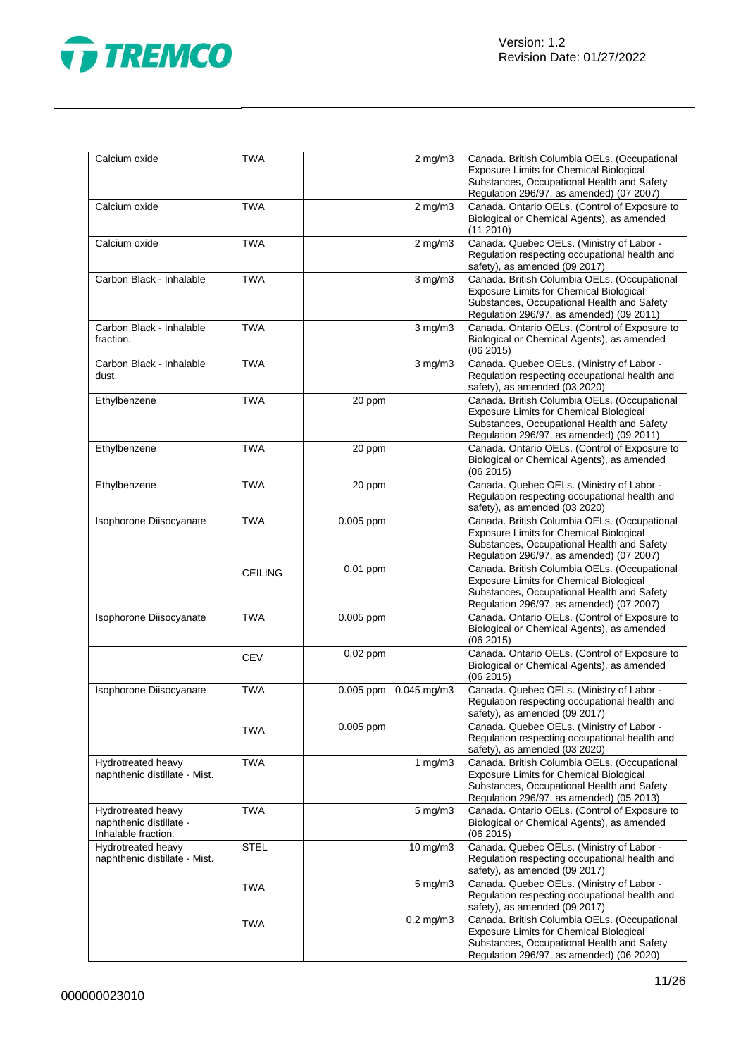

| Calcium oxide                                                        | <b>TWA</b>     | $2$ mg/m $3$          | Canada. British Columbia OELs. (Occupational<br><b>Exposure Limits for Chemical Biological</b><br>Substances, Occupational Health and Safety<br>Regulation 296/97, as amended) (07 2007) |
|----------------------------------------------------------------------|----------------|-----------------------|------------------------------------------------------------------------------------------------------------------------------------------------------------------------------------------|
| Calcium oxide                                                        | <b>TWA</b>     | $2$ mg/m $3$          | Canada. Ontario OELs. (Control of Exposure to<br>Biological or Chemical Agents), as amended<br>(112010)                                                                                  |
| Calcium oxide                                                        | <b>TWA</b>     | $2$ mg/m $3$          | Canada. Quebec OELs. (Ministry of Labor -<br>Regulation respecting occupational health and<br>safety), as amended (09 2017)                                                              |
| Carbon Black - Inhalable                                             | <b>TWA</b>     | $3$ mg/m $3$          | Canada. British Columbia OELs. (Occupational<br><b>Exposure Limits for Chemical Biological</b><br>Substances, Occupational Health and Safety<br>Regulation 296/97, as amended) (09 2011) |
| Carbon Black - Inhalable<br>fraction.                                | <b>TWA</b>     | $3$ mg/m $3$          | Canada. Ontario OELs. (Control of Exposure to<br>Biological or Chemical Agents), as amended<br>(06 2015)                                                                                 |
| Carbon Black - Inhalable<br>dust.                                    | <b>TWA</b>     | $3$ mg/m $3$          | Canada. Quebec OELs. (Ministry of Labor -<br>Regulation respecting occupational health and<br>safety), as amended (03 2020)                                                              |
| Ethylbenzene                                                         | <b>TWA</b>     | 20 ppm                | Canada. British Columbia OELs. (Occupational<br><b>Exposure Limits for Chemical Biological</b><br>Substances, Occupational Health and Safety<br>Regulation 296/97, as amended) (09 2011) |
| Ethylbenzene                                                         | <b>TWA</b>     | 20 ppm                | Canada. Ontario OELs. (Control of Exposure to<br>Biological or Chemical Agents), as amended<br>(062015)                                                                                  |
| Ethylbenzene                                                         | <b>TWA</b>     | 20 ppm                | Canada. Quebec OELs. (Ministry of Labor -<br>Regulation respecting occupational health and<br>safety), as amended (03 2020)                                                              |
| Isophorone Diisocyanate                                              | <b>TWA</b>     | 0.005 ppm             | Canada. British Columbia OELs. (Occupational<br><b>Exposure Limits for Chemical Biological</b><br>Substances, Occupational Health and Safety<br>Regulation 296/97, as amended) (07 2007) |
|                                                                      | <b>CEILING</b> | 0.01 ppm              | Canada. British Columbia OELs. (Occupational<br><b>Exposure Limits for Chemical Biological</b><br>Substances, Occupational Health and Safety<br>Regulation 296/97, as amended) (07 2007) |
| Isophorone Diisocyanate                                              | <b>TWA</b>     | 0.005 ppm             | Canada. Ontario OELs. (Control of Exposure to<br>Biological or Chemical Agents), as amended<br>(062015)                                                                                  |
|                                                                      | <b>CEV</b>     | $0.02$ ppm            | Canada. Ontario OELs. (Control of Exposure to<br>Biological or Chemical Agents), as amended<br>(06 2015)                                                                                 |
| Isophorone Diisocyanate                                              | <b>TWA</b>     | 0.005 ppm 0.045 mg/m3 | Canada. Quebec OELs. (Ministry of Labor -<br>Regulation respecting occupational health and<br>safety), as amended (09 2017)                                                              |
|                                                                      | <b>TWA</b>     | 0.005 ppm             | Canada. Quebec OELs. (Ministry of Labor -<br>Regulation respecting occupational health and<br>safety), as amended (03 2020)                                                              |
| Hydrotreated heavy<br>naphthenic distillate - Mist.                  | <b>TWA</b>     | 1 $mg/m3$             | Canada. British Columbia OELs. (Occupational<br><b>Exposure Limits for Chemical Biological</b><br>Substances, Occupational Health and Safety<br>Regulation 296/97, as amended) (05 2013) |
| Hydrotreated heavy<br>naphthenic distillate -<br>Inhalable fraction. | <b>TWA</b>     | $5$ mg/m $3$          | Canada. Ontario OELs. (Control of Exposure to<br>Biological or Chemical Agents), as amended<br>(06 2015)                                                                                 |
| Hydrotreated heavy<br>naphthenic distillate - Mist.                  | <b>STEL</b>    | 10 mg/m3              | Canada. Quebec OELs. (Ministry of Labor -<br>Regulation respecting occupational health and<br>safety), as amended (09 2017)                                                              |
|                                                                      | <b>TWA</b>     | $5 \text{ mg/m}$ 3    | Canada. Quebec OELs. (Ministry of Labor -<br>Regulation respecting occupational health and<br>safety), as amended (09 2017)                                                              |
|                                                                      | <b>TWA</b>     | $0.2$ mg/m $3$        | Canada. British Columbia OELs. (Occupational<br><b>Exposure Limits for Chemical Biological</b><br>Substances, Occupational Health and Safety<br>Regulation 296/97, as amended) (06 2020) |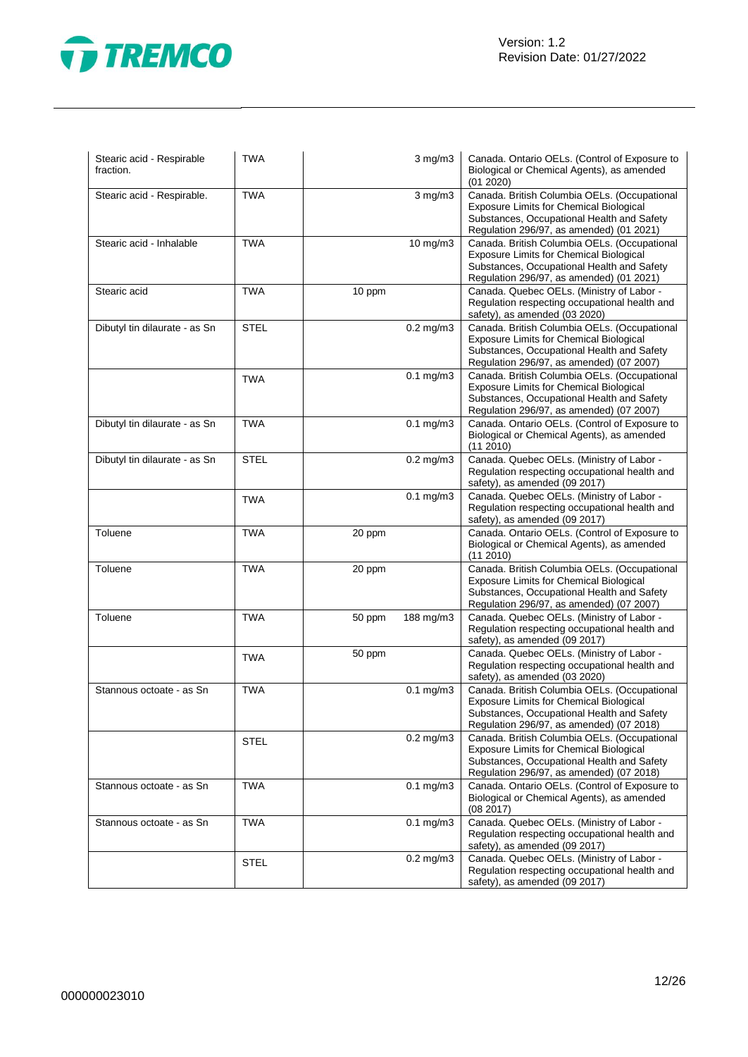

| Stearic acid - Respirable<br>fraction. | <b>TWA</b>  |                                                          | $3$ mg/m $3$   | Canada. Ontario OELs. (Control of Exposure to<br>Biological or Chemical Agents), as amended<br>(01 2020)                                                                                 |
|----------------------------------------|-------------|----------------------------------------------------------|----------------|------------------------------------------------------------------------------------------------------------------------------------------------------------------------------------------|
| Stearic acid - Respirable.             | <b>TWA</b>  |                                                          | $3$ mg/m $3$   | Canada. British Columbia OELs. (Occupational<br><b>Exposure Limits for Chemical Biological</b><br>Substances, Occupational Health and Safety<br>Regulation 296/97, as amended) (01 2021) |
| Stearic acid - Inhalable               | <b>TWA</b>  |                                                          | 10 mg/m3       | Canada. British Columbia OELs. (Occupational<br>Exposure Limits for Chemical Biological<br>Substances, Occupational Health and Safety<br>Regulation 296/97, as amended) (01 2021)        |
| Stearic acid                           | <b>TWA</b>  | 10 ppm                                                   |                | Canada. Quebec OELs. (Ministry of Labor -<br>Regulation respecting occupational health and<br>safety), as amended (03 2020)                                                              |
| Dibutyl tin dilaurate - as Sn          | <b>STEL</b> |                                                          | $0.2$ mg/m $3$ | Canada. British Columbia OELs. (Occupational<br><b>Exposure Limits for Chemical Biological</b><br>Substances, Occupational Health and Safety<br>Regulation 296/97, as amended) (07 2007) |
|                                        | <b>TWA</b>  |                                                          | $0.1$ mg/m $3$ | Canada. British Columbia OELs. (Occupational<br>Exposure Limits for Chemical Biological<br>Substances, Occupational Health and Safety<br>Regulation 296/97, as amended) (07 2007)        |
| Dibutyl tin dilaurate - as Sn          | <b>TWA</b>  |                                                          | $0.1$ mg/m $3$ | Canada. Ontario OELs. (Control of Exposure to<br>Biological or Chemical Agents), as amended<br>(11 2010)                                                                                 |
| Dibutyl tin dilaurate - as Sn          | <b>STEL</b> |                                                          | $0.2$ mg/m $3$ | Canada. Quebec OELs. (Ministry of Labor -<br>Regulation respecting occupational health and<br>safety), as amended (09 2017)                                                              |
|                                        | TWA         |                                                          | $0.1$ mg/m $3$ | Canada. Quebec OELs. (Ministry of Labor -<br>Regulation respecting occupational health and<br>safety), as amended (09 2017)                                                              |
| Toluene                                | <b>TWA</b>  | 20 ppm                                                   |                | Canada. Ontario OELs. (Control of Exposure to<br>Biological or Chemical Agents), as amended<br>(112010)                                                                                  |
| Toluene                                | <b>TWA</b>  | 20 ppm<br><b>Exposure Limits for Chemical Biological</b> |                | Canada. British Columbia OELs. (Occupational<br>Substances, Occupational Health and Safety<br>Regulation 296/97, as amended) (07 2007)                                                   |
| Toluene                                | <b>TWA</b>  | 50 ppm                                                   | 188 mg/m3      | Canada. Quebec OELs. (Ministry of Labor -<br>Regulation respecting occupational health and<br>safety), as amended (09 2017)                                                              |
|                                        | <b>TWA</b>  | 50 ppm                                                   |                | Canada. Quebec OELs. (Ministry of Labor -<br>Regulation respecting occupational health and<br>safety), as amended (03 2020)                                                              |
| Stannous octoate - as Sn               | <b>TWA</b>  |                                                          | $0.1$ mg/m $3$ | Canada. British Columbia OELs. (Occupational<br><b>Exposure Limits for Chemical Biological</b><br>Substances, Occupational Health and Safety<br>Regulation 296/97, as amended) (07 2018) |
|                                        | STEL        |                                                          | $0.2$ mg/m $3$ | Canada. British Columbia OELs. (Occupational<br><b>Exposure Limits for Chemical Biological</b><br>Substances, Occupational Health and Safety<br>Regulation 296/97, as amended) (07 2018) |
| Stannous octoate - as Sn               | <b>TWA</b>  |                                                          | $0.1$ mg/m $3$ | Canada. Ontario OELs. (Control of Exposure to<br>Biological or Chemical Agents), as amended<br>(08 2017)                                                                                 |
| Stannous octoate - as Sn               | TWA         |                                                          | $0.1$ mg/m $3$ | Canada. Quebec OELs. (Ministry of Labor -<br>Regulation respecting occupational health and<br>safety), as amended (09 2017)                                                              |
|                                        | <b>STEL</b> |                                                          | $0.2$ mg/m $3$ | Canada. Quebec OELs. (Ministry of Labor -<br>Regulation respecting occupational health and<br>safety), as amended (09 2017)                                                              |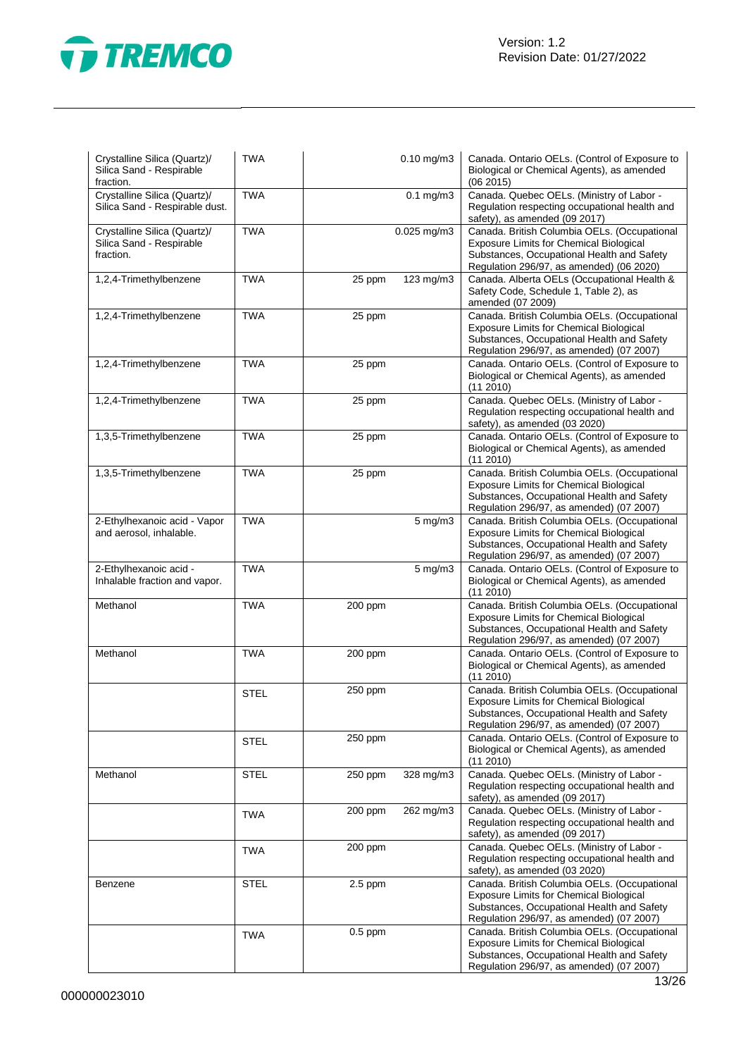

| Crystalline Silica (Quartz)/<br>Silica Sand - Respirable<br>fraction. | <b>TWA</b>  |           | $0.10$ mg/m $3$  | Canada. Ontario OELs. (Control of Exposure to<br>Biological or Chemical Agents), as amended<br>(062015)                                                                                  |
|-----------------------------------------------------------------------|-------------|-----------|------------------|------------------------------------------------------------------------------------------------------------------------------------------------------------------------------------------|
| Crystalline Silica (Quartz)/<br>Silica Sand - Respirable dust.        | <b>TWA</b>  |           | $0.1$ mg/m $3$   | Canada. Quebec OELs. (Ministry of Labor -<br>Regulation respecting occupational health and<br>safety), as amended (09 2017)                                                              |
| Crystalline Silica (Quartz)/<br>Silica Sand - Respirable<br>fraction. | <b>TWA</b>  |           | $0.025$ mg/m $3$ | Canada. British Columbia OELs. (Occupational<br>Exposure Limits for Chemical Biological<br>Substances, Occupational Health and Safety<br>Regulation 296/97, as amended) (06 2020)        |
| 1,2,4-Trimethylbenzene                                                | <b>TWA</b>  | 25 ppm    | 123 mg/m3        | Canada. Alberta OELs (Occupational Health &<br>Safety Code, Schedule 1, Table 2), as<br>amended (07 2009)                                                                                |
| 1,2,4-Trimethylbenzene                                                | <b>TWA</b>  | 25 ppm    |                  | Canada. British Columbia OELs. (Occupational<br>Exposure Limits for Chemical Biological<br>Substances, Occupational Health and Safety<br>Regulation 296/97, as amended) (07 2007)        |
| 1,2,4-Trimethylbenzene                                                | <b>TWA</b>  | 25 ppm    |                  | Canada. Ontario OELs. (Control of Exposure to<br>Biological or Chemical Agents), as amended<br>(112010)                                                                                  |
| 1,2,4-Trimethylbenzene                                                | <b>TWA</b>  | 25 ppm    |                  | Canada. Quebec OELs. (Ministry of Labor -<br>Regulation respecting occupational health and<br>safety), as amended (03 2020)                                                              |
| 1,3,5-Trimethylbenzene                                                | <b>TWA</b>  | 25 ppm    |                  | Canada. Ontario OELs. (Control of Exposure to<br>Biological or Chemical Agents), as amended<br>(11 2010)                                                                                 |
| 1,3,5-Trimethylbenzene                                                | <b>TWA</b>  | 25 ppm    |                  | Canada. British Columbia OELs. (Occupational<br><b>Exposure Limits for Chemical Biological</b><br>Substances, Occupational Health and Safety<br>Regulation 296/97, as amended) (07 2007) |
| 2-Ethylhexanoic acid - Vapor<br>and aerosol, inhalable.               | <b>TWA</b>  |           | 5 mg/m3          | Canada. British Columbia OELs. (Occupational<br>Exposure Limits for Chemical Biological<br>Substances, Occupational Health and Safety<br>Regulation 296/97, as amended) (07 2007)        |
| 2-Ethylhexanoic acid -<br>Inhalable fraction and vapor.               | <b>TWA</b>  |           | $5 \text{ mg/m}$ | Canada. Ontario OELs. (Control of Exposure to<br>Biological or Chemical Agents), as amended<br>(11 2010)                                                                                 |
| Methanol                                                              | <b>TWA</b>  | 200 ppm   |                  | Canada. British Columbia OELs. (Occupational<br>Exposure Limits for Chemical Biological<br>Substances, Occupational Health and Safety<br>Regulation 296/97, as amended) (07 2007)        |
| Methanol                                                              | <b>TWA</b>  | 200 ppm   |                  | Canada. Ontario OELs. (Control of Exposure to<br>Biological or Chemical Agents), as amended<br>(11 2010)                                                                                 |
|                                                                       | <b>STEL</b> | 250 ppm   |                  | Canada. British Columbia OELs. (Occupational<br>Exposure Limits for Chemical Biological<br>Substances, Occupational Health and Safety<br>Regulation 296/97, as amended) (07 2007)        |
|                                                                       | <b>STEL</b> | 250 ppm   |                  | Canada. Ontario OELs. (Control of Exposure to<br>Biological or Chemical Agents), as amended<br>(11 2010)                                                                                 |
| Methanol                                                              | <b>STEL</b> | 250 ppm   | 328 mg/m3        | Canada. Quebec OELs. (Ministry of Labor -<br>Regulation respecting occupational health and<br>safety), as amended (09 2017)                                                              |
|                                                                       | <b>TWA</b>  | 200 ppm   | 262 mg/m3        | Canada. Quebec OELs. (Ministry of Labor -<br>Regulation respecting occupational health and<br>safety), as amended (09 2017)                                                              |
|                                                                       | <b>TWA</b>  | 200 ppm   |                  | Canada. Quebec OELs. (Ministry of Labor -<br>Regulation respecting occupational health and<br>safety), as amended (03 2020)                                                              |
| Benzene                                                               | STEL        | $2.5$ ppm |                  | Canada. British Columbia OELs. (Occupational<br>Exposure Limits for Chemical Biological<br>Substances, Occupational Health and Safety<br>Regulation 296/97, as amended) (07 2007)        |
|                                                                       | <b>TWA</b>  | $0.5$ ppm |                  | Canada. British Columbia OELs. (Occupational<br><b>Exposure Limits for Chemical Biological</b><br>Substances, Occupational Health and Safety<br>Regulation 296/97, as amended) (07 2007) |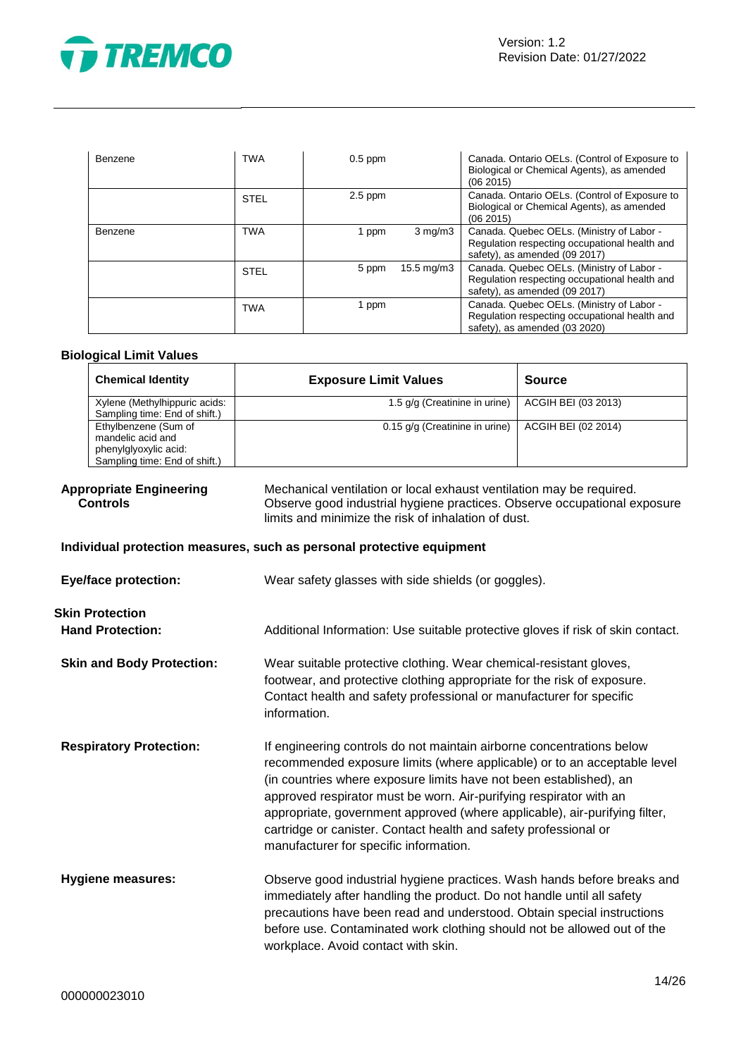

| Benzene | <b>TWA</b>  | $0.5$ ppm |                  | Canada. Ontario OELs. (Control of Exposure to<br>Biological or Chemical Agents), as amended<br>(062015)                     |
|---------|-------------|-----------|------------------|-----------------------------------------------------------------------------------------------------------------------------|
|         | <b>STEL</b> | $2.5$ ppm |                  | Canada. Ontario OELs. (Control of Exposure to<br>Biological or Chemical Agents), as amended<br>(062015)                     |
| Benzene | <b>TWA</b>  | 1 ppm     | $3 \text{ mg/m}$ | Canada. Quebec OELs. (Ministry of Labor -<br>Regulation respecting occupational health and<br>safety), as amended (09 2017) |
|         | <b>STEL</b> | 5 ppm     | 15.5 mg/m3       | Canada. Quebec OELs. (Ministry of Labor -<br>Regulation respecting occupational health and<br>safety), as amended (09 2017) |
|         | <b>TWA</b>  | 1 ppm     |                  | Canada. Quebec OELs. (Ministry of Labor -<br>Regulation respecting occupational health and<br>safety), as amended (03 2020) |

# **Biological Limit Values**

| <b>Chemical Identity</b>                                                                            | <b>Exposure Limit Values</b>     | <b>Source</b>       |
|-----------------------------------------------------------------------------------------------------|----------------------------------|---------------------|
| Xylene (Methylhippuric acids:<br>Sampling time: End of shift.)                                      | 1.5 g/g (Creatinine in urine)    | ACGIH BEI (03 2013) |
| Ethylbenzene (Sum of<br>mandelic acid and<br>phenylglyoxylic acid:<br>Sampling time: End of shift.) | $0.15$ g/g (Creatinine in urine) | ACGIH BEI (02 2014) |

# **Appropriate Engineering Controls**

Mechanical ventilation or local exhaust ventilation may be required. Observe good industrial hygiene practices. Observe occupational exposure limits and minimize the risk of inhalation of dust.

# **Individual protection measures, such as personal protective equipment**

| <b>Eye/face protection:</b>                       | Wear safety glasses with side shields (or goggles).                                                                                                                                                                                                                                                                                                                                                                                                                                       |
|---------------------------------------------------|-------------------------------------------------------------------------------------------------------------------------------------------------------------------------------------------------------------------------------------------------------------------------------------------------------------------------------------------------------------------------------------------------------------------------------------------------------------------------------------------|
| <b>Skin Protection</b><br><b>Hand Protection:</b> | Additional Information: Use suitable protective gloves if risk of skin contact.                                                                                                                                                                                                                                                                                                                                                                                                           |
| <b>Skin and Body Protection:</b>                  | Wear suitable protective clothing. Wear chemical-resistant gloves,<br>footwear, and protective clothing appropriate for the risk of exposure.<br>Contact health and safety professional or manufacturer for specific<br>information.                                                                                                                                                                                                                                                      |
| <b>Respiratory Protection:</b>                    | If engineering controls do not maintain airborne concentrations below<br>recommended exposure limits (where applicable) or to an acceptable level<br>(in countries where exposure limits have not been established), an<br>approved respirator must be worn. Air-purifying respirator with an<br>appropriate, government approved (where applicable), air-purifying filter,<br>cartridge or canister. Contact health and safety professional or<br>manufacturer for specific information. |
| <b>Hygiene measures:</b>                          | Observe good industrial hygiene practices. Wash hands before breaks and<br>immediately after handling the product. Do not handle until all safety<br>precautions have been read and understood. Obtain special instructions<br>before use. Contaminated work clothing should not be allowed out of the<br>workplace. Avoid contact with skin.                                                                                                                                             |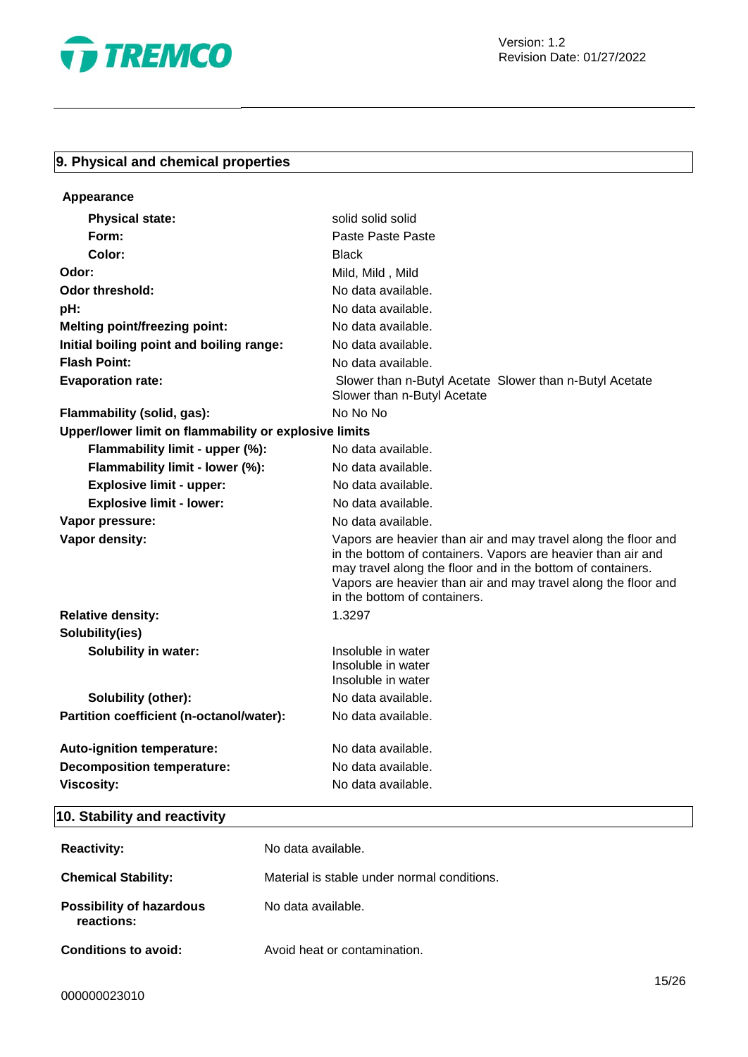

# **9. Physical and chemical properties**

| Appearance                                            |                                                                                                                                                                                                                                                                                                 |  |
|-------------------------------------------------------|-------------------------------------------------------------------------------------------------------------------------------------------------------------------------------------------------------------------------------------------------------------------------------------------------|--|
| <b>Physical state:</b>                                | solid solid solid                                                                                                                                                                                                                                                                               |  |
| Form:                                                 | Paste Paste Paste                                                                                                                                                                                                                                                                               |  |
| Color:                                                | <b>Black</b>                                                                                                                                                                                                                                                                                    |  |
| Odor:                                                 | Mild, Mild, Mild                                                                                                                                                                                                                                                                                |  |
| Odor threshold:                                       | No data available.                                                                                                                                                                                                                                                                              |  |
| pH:                                                   | No data available.                                                                                                                                                                                                                                                                              |  |
| <b>Melting point/freezing point:</b>                  | No data available.                                                                                                                                                                                                                                                                              |  |
| Initial boiling point and boiling range:              | No data available.                                                                                                                                                                                                                                                                              |  |
| <b>Flash Point:</b>                                   | No data available.                                                                                                                                                                                                                                                                              |  |
| <b>Evaporation rate:</b>                              | Slower than n-Butyl Acetate Slower than n-Butyl Acetate<br>Slower than n-Butyl Acetate                                                                                                                                                                                                          |  |
| Flammability (solid, gas):                            | No No No                                                                                                                                                                                                                                                                                        |  |
| Upper/lower limit on flammability or explosive limits |                                                                                                                                                                                                                                                                                                 |  |
| Flammability limit - upper (%):                       | No data available.                                                                                                                                                                                                                                                                              |  |
| Flammability limit - lower (%):                       | No data available.                                                                                                                                                                                                                                                                              |  |
| <b>Explosive limit - upper:</b>                       | No data available.                                                                                                                                                                                                                                                                              |  |
| <b>Explosive limit - lower:</b>                       | No data available.                                                                                                                                                                                                                                                                              |  |
| Vapor pressure:                                       | No data available.                                                                                                                                                                                                                                                                              |  |
| Vapor density:                                        | Vapors are heavier than air and may travel along the floor and<br>in the bottom of containers. Vapors are heavier than air and<br>may travel along the floor and in the bottom of containers.<br>Vapors are heavier than air and may travel along the floor and<br>in the bottom of containers. |  |
| <b>Relative density:</b>                              | 1.3297                                                                                                                                                                                                                                                                                          |  |
| Solubility(ies)                                       |                                                                                                                                                                                                                                                                                                 |  |
| <b>Solubility in water:</b>                           | Insoluble in water<br>Insoluble in water<br>Insoluble in water                                                                                                                                                                                                                                  |  |
| Solubility (other):                                   | No data available.                                                                                                                                                                                                                                                                              |  |
| Partition coefficient (n-octanol/water):              | No data available.                                                                                                                                                                                                                                                                              |  |
| Auto-ignition temperature:                            | No data available.                                                                                                                                                                                                                                                                              |  |
| <b>Decomposition temperature:</b>                     | No data available.                                                                                                                                                                                                                                                                              |  |
| <b>Viscosity:</b>                                     | No data available.                                                                                                                                                                                                                                                                              |  |

# **10. Stability and reactivity**

| <b>Reactivity:</b>                            | No data available.                          |
|-----------------------------------------------|---------------------------------------------|
| <b>Chemical Stability:</b>                    | Material is stable under normal conditions. |
| <b>Possibility of hazardous</b><br>reactions: | No data available.                          |
| <b>Conditions to avoid:</b>                   | Avoid heat or contamination.                |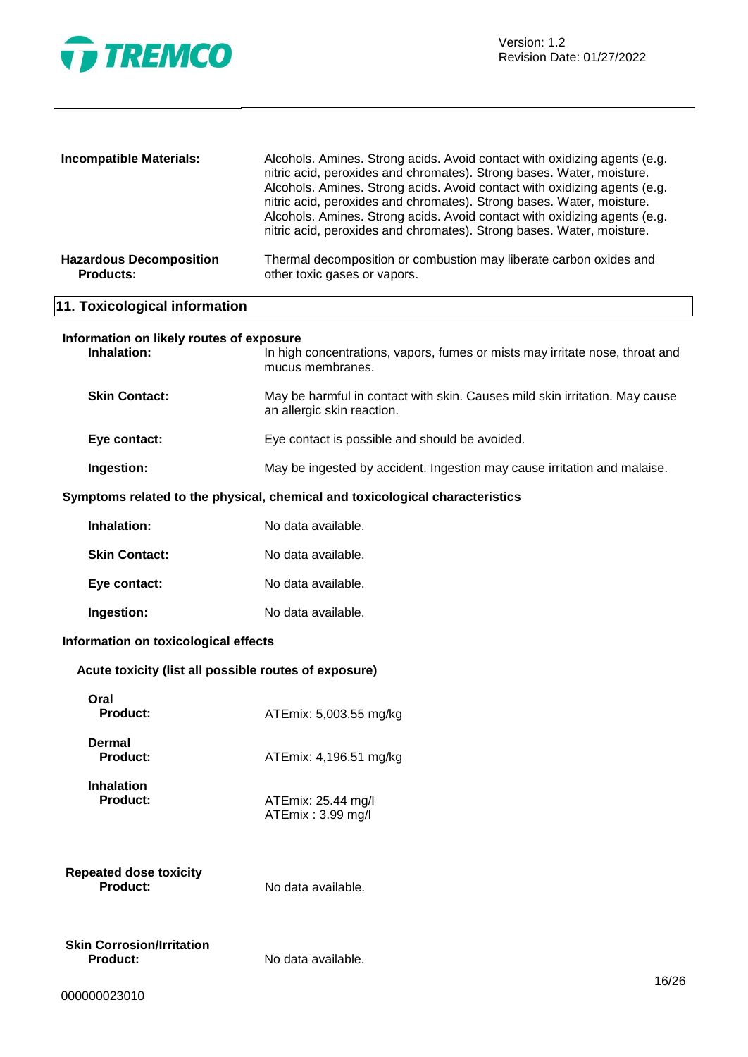

| <b>Incompatible Materials:</b>                     | Alcohols. Amines. Strong acids. Avoid contact with oxidizing agents (e.g.                                                                                                                                                   |
|----------------------------------------------------|-----------------------------------------------------------------------------------------------------------------------------------------------------------------------------------------------------------------------------|
|                                                    | nitric acid, peroxides and chromates). Strong bases. Water, moisture.<br>Alcohols. Amines. Strong acids. Avoid contact with oxidizing agents (e.g.                                                                          |
|                                                    | nitric acid, peroxides and chromates). Strong bases. Water, moisture.<br>Alcohols. Amines. Strong acids. Avoid contact with oxidizing agents (e.g.<br>nitric acid, peroxides and chromates). Strong bases. Water, moisture. |
| <b>Hazardous Decomposition</b><br><b>Products:</b> | Thermal decomposition or combustion may liberate carbon oxides and<br>other toxic gases or vapors.                                                                                                                          |
| 11. Toxicological information                      |                                                                                                                                                                                                                             |

| Inhalation:          | In high concentrations, vapors, fumes or mists may irritate nose, throat and<br>mucus membranes.          |
|----------------------|-----------------------------------------------------------------------------------------------------------|
| <b>Skin Contact:</b> | May be harmful in contact with skin. Causes mild skin irritation. May cause<br>an allergic skin reaction. |
| Eye contact:         | Eye contact is possible and should be avoided.                                                            |

# **Ingestion:** May be ingested by accident. Ingestion may cause irritation and malaise.

# **Symptoms related to the physical, chemical and toxicological characteristics**

| Inhalation:          | No data available. |
|----------------------|--------------------|
| <b>Skin Contact:</b> | No data available. |
| Eye contact:         | No data available. |
| Ingestion:           | No data available. |

# **Information on toxicological effects**

# **Acute toxicity (list all possible routes of exposure)**

| Oral<br><b>Product:</b>                      | ATEmix: 5,003.55 mg/kg                  |
|----------------------------------------------|-----------------------------------------|
| Dermal<br><b>Product:</b>                    | ATEmix: 4,196.51 mg/kg                  |
| <b>Inhalation</b><br><b>Product:</b>         | ATEmix: 25.44 mg/l<br>ATEmix: 3.99 mg/l |
| <b>Repeated dose toxicity</b><br>Product:    | No data available.                      |
| Skin Corrosion/Irritation<br><b>Product:</b> | No data available.                      |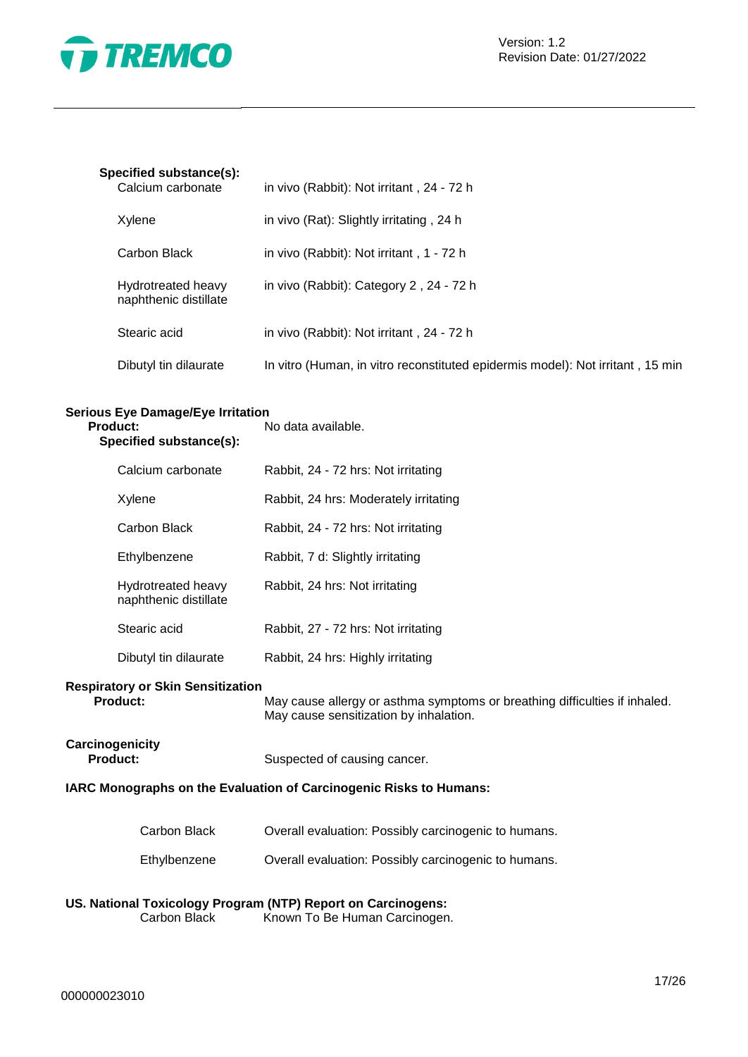

# **Specified substance(s):**

| Calcium carbonate                           | in vivo (Rabbit): Not irritant, 24 - 72 h                                      |
|---------------------------------------------|--------------------------------------------------------------------------------|
| Xylene                                      | in vivo (Rat): Slightly irritating, 24 h                                       |
| Carbon Black                                | in vivo (Rabbit): Not irritant, 1 - 72 h                                       |
| Hydrotreated heavy<br>naphthenic distillate | in vivo (Rabbit): Category 2, 24 - 72 h                                        |
| Stearic acid                                | in vivo (Rabbit): Not irritant, 24 - 72 h                                      |
| Dibutyl tin dilaurate                       | In vitro (Human, in vitro reconstituted epidermis model): Not irritant, 15 min |

# **Serious Eye Damage/Eye Irritation**

| <b>Product:</b><br>Specified substance(s):                  | No data available.                                                                                                   |
|-------------------------------------------------------------|----------------------------------------------------------------------------------------------------------------------|
| Calcium carbonate                                           | Rabbit, 24 - 72 hrs: Not irritating                                                                                  |
| Xylene                                                      | Rabbit, 24 hrs: Moderately irritating                                                                                |
| Carbon Black                                                | Rabbit, 24 - 72 hrs: Not irritating                                                                                  |
| Ethylbenzene                                                | Rabbit, 7 d: Slightly irritating                                                                                     |
| Hydrotreated heavy<br>naphthenic distillate                 | Rabbit, 24 hrs: Not irritating                                                                                       |
| Stearic acid                                                | Rabbit, 27 - 72 hrs: Not irritating                                                                                  |
| Dibutyl tin dilaurate                                       | Rabbit, 24 hrs: Highly irritating                                                                                    |
| <b>Respiratory or Skin Sensitization</b><br><b>Product:</b> | May cause allergy or asthma symptoms or breathing difficulties if inhaled.<br>May cause sensitization by inhalation. |

# **IARC Monographs on the Evaluation of Carcinogenic Risks to Humans:**

| Carbon Black | Overall evaluation: Possibly carcinogenic to humans. |
|--------------|------------------------------------------------------|
| Ethylbenzene | Overall evaluation: Possibly carcinogenic to humans. |

Suspected of causing cancer.

# **US. National Toxicology Program (NTP) Report on Carcinogens:**

Carbon Black Known To Be Human Carcinogen.

**Carcinogenicity**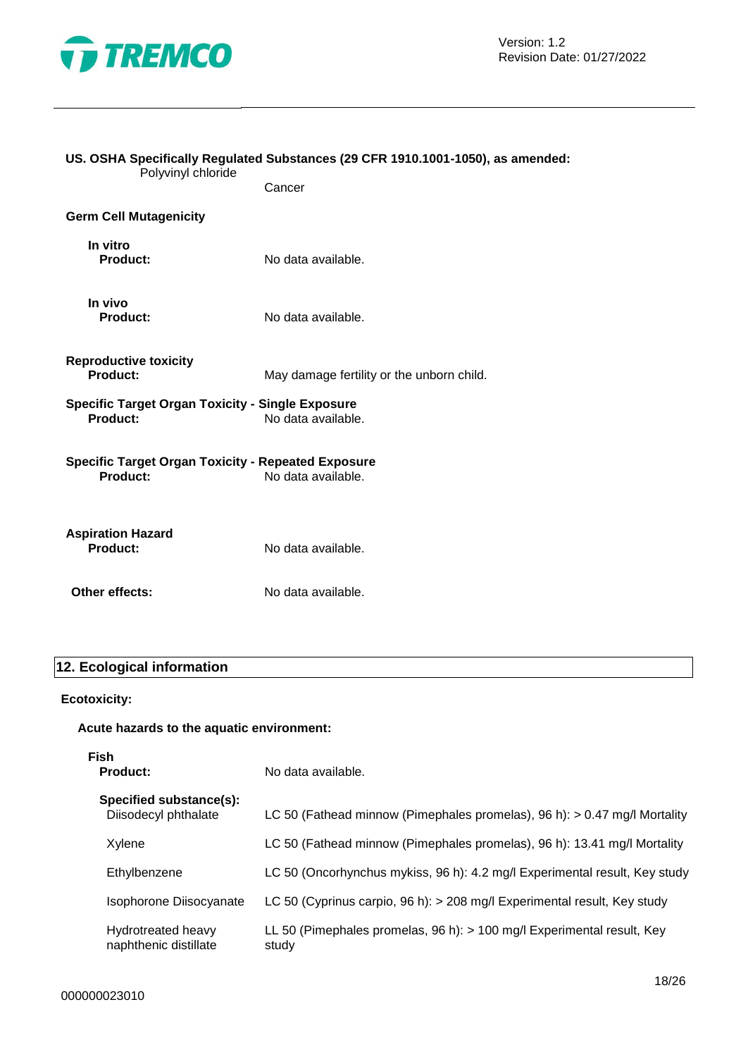

| US. OSHA Specifically Regulated Substances (29 CFR 1910.1001-1050), as amended:<br>Polyvinyl chloride |                                           |
|-------------------------------------------------------------------------------------------------------|-------------------------------------------|
|                                                                                                       | Cancer                                    |
| <b>Germ Cell Mutagenicity</b>                                                                         |                                           |
| In vitro<br><b>Product:</b>                                                                           | No data available.                        |
| In vivo<br>Product:                                                                                   | No data available.                        |
| <b>Reproductive toxicity</b><br>Product:                                                              | May damage fertility or the unborn child. |
| <b>Specific Target Organ Toxicity - Single Exposure</b><br>Product:                                   | No data available.                        |
| <b>Specific Target Organ Toxicity - Repeated Exposure</b><br>Product:                                 | No data available.                        |
| <b>Aspiration Hazard</b><br><b>Product:</b>                                                           | No data available.                        |
| Other effects:                                                                                        | No data available.                        |

# **12. Ecological information**

# **Ecotoxicity:**

# **Acute hazards to the aquatic environment:**

**Fish**

No data available.

| Specified substance(s):<br>Diisodecyl phthalate | LC 50 (Fathead minnow (Pimephales promelas), $96 h$ ): $> 0.47$ mg/l Mortality  |
|-------------------------------------------------|---------------------------------------------------------------------------------|
| Xylene                                          | LC 50 (Fathead minnow (Pimephales promelas), 96 h): 13.41 mg/l Mortality        |
| Ethylbenzene                                    | LC 50 (Oncorhynchus mykiss, 96 h): 4.2 mg/l Experimental result, Key study      |
| Isophorone Diisocyanate                         | LC 50 (Cyprinus carpio, 96 h): > 208 mg/l Experimental result, Key study        |
| Hydrotreated heavy<br>naphthenic distillate     | LL 50 (Pimephales promelas, 96 h): > 100 mg/l Experimental result, Key<br>study |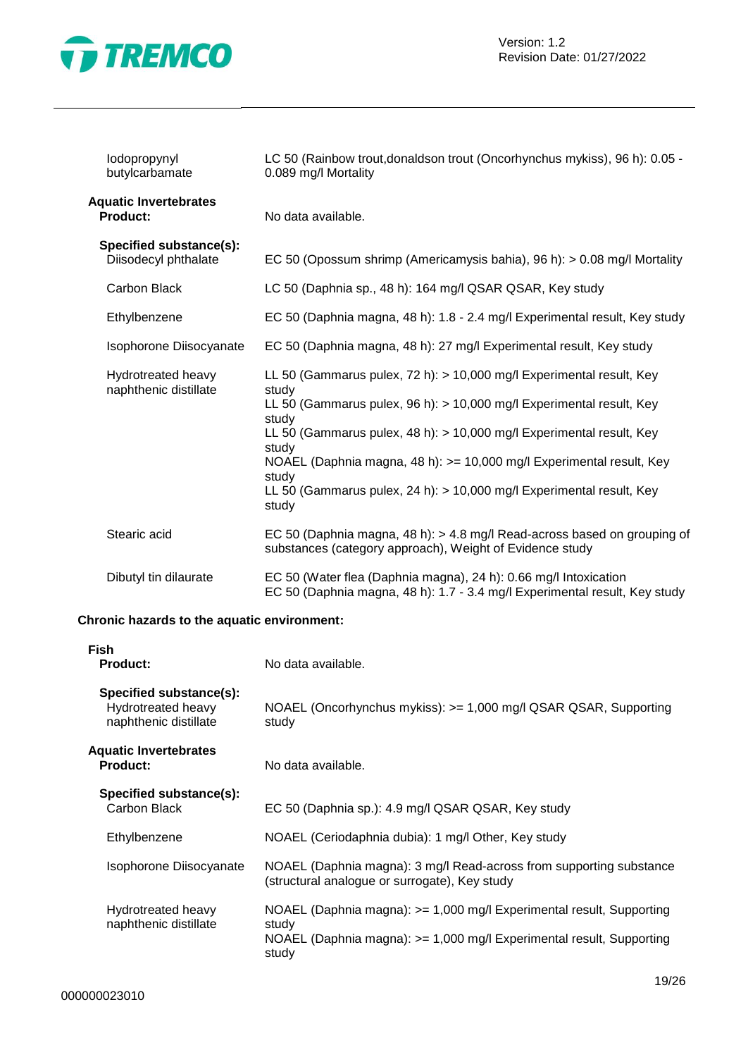

| lodopropynyl<br>butylcarbamate                  | LC 50 (Rainbow trout, donaldson trout (Oncorhynchus mykiss), 96 h): 0.05 -<br>0.089 mg/l Mortality                                                                                                                                                                                                                                                                                                                |
|-------------------------------------------------|-------------------------------------------------------------------------------------------------------------------------------------------------------------------------------------------------------------------------------------------------------------------------------------------------------------------------------------------------------------------------------------------------------------------|
| <b>Aquatic Invertebrates</b><br><b>Product:</b> | No data available.                                                                                                                                                                                                                                                                                                                                                                                                |
| Specified substance(s):<br>Diisodecyl phthalate | EC 50 (Opossum shrimp (Americamysis bahia), 96 h): > 0.08 mg/l Mortality                                                                                                                                                                                                                                                                                                                                          |
| Carbon Black                                    | LC 50 (Daphnia sp., 48 h): 164 mg/l QSAR QSAR, Key study                                                                                                                                                                                                                                                                                                                                                          |
| Ethylbenzene                                    | EC 50 (Daphnia magna, 48 h): 1.8 - 2.4 mg/l Experimental result, Key study                                                                                                                                                                                                                                                                                                                                        |
| Isophorone Diisocyanate                         | EC 50 (Daphnia magna, 48 h): 27 mg/l Experimental result, Key study                                                                                                                                                                                                                                                                                                                                               |
| Hydrotreated heavy<br>naphthenic distillate     | LL 50 (Gammarus pulex, 72 h): > 10,000 mg/l Experimental result, Key<br>study<br>LL 50 (Gammarus pulex, 96 h): > 10,000 mg/l Experimental result, Key<br>study<br>LL 50 (Gammarus pulex, 48 h): > 10,000 mg/l Experimental result, Key<br>study<br>NOAEL (Daphnia magna, 48 h): >= 10,000 mg/l Experimental result, Key<br>study<br>LL 50 (Gammarus pulex, 24 h): > 10,000 mg/l Experimental result, Key<br>study |
| Stearic acid                                    | EC 50 (Daphnia magna, 48 h): > 4.8 mg/l Read-across based on grouping of<br>substances (category approach), Weight of Evidence study                                                                                                                                                                                                                                                                              |
| Dibutyl tin dilaurate                           | EC 50 (Water flea (Daphnia magna), 24 h): 0.66 mg/l Intoxication<br>EC 50 (Daphnia magna, 48 h): 1.7 - 3.4 mg/l Experimental result, Key study                                                                                                                                                                                                                                                                    |

# **Chronic hazards to the aquatic environment:**

| Fish<br><b>Product:</b>                                                | No data available.                                                                                                                                             |
|------------------------------------------------------------------------|----------------------------------------------------------------------------------------------------------------------------------------------------------------|
| Specified substance(s):<br>Hydrotreated heavy<br>naphthenic distillate | NOAEL (Oncorhynchus mykiss): >= 1,000 mg/l QSAR QSAR, Supporting<br>study                                                                                      |
| <b>Aquatic Invertebrates</b><br><b>Product:</b>                        | No data available.                                                                                                                                             |
| Specified substance(s):<br>Carbon Black                                | EC 50 (Daphnia sp.): 4.9 mg/l QSAR QSAR, Key study                                                                                                             |
| Ethylbenzene                                                           | NOAEL (Ceriodaphnia dubia): 1 mg/l Other, Key study                                                                                                            |
| Isophorone Diisocyanate                                                | NOAEL (Daphnia magna): 3 mg/l Read-across from supporting substance<br>(structural analogue or surrogate), Key study                                           |
| Hydrotreated heavy<br>naphthenic distillate                            | NOAEL (Daphnia magna): >= 1,000 mg/l Experimental result, Supporting<br>study<br>NOAEL (Daphnia magna): >= 1,000 mg/l Experimental result, Supporting<br>study |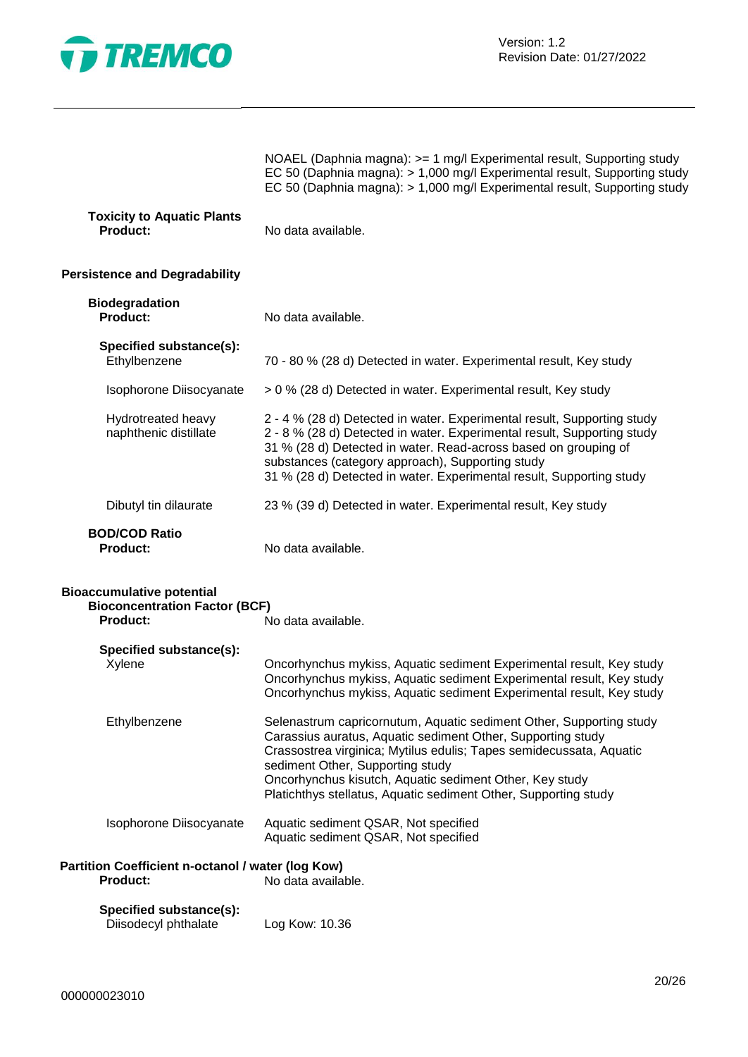

NOAEL (Daphnia magna): >= 1 mg/l Experimental result, Supporting study EC 50 (Daphnia magna): > 1,000 mg/l Experimental result, Supporting study EC 50 (Daphnia magna): > 1,000 mg/l Experimental result, Supporting study

| <b>Toxicity to Aquatic Plants</b> |                    |
|-----------------------------------|--------------------|
| <b>Product:</b>                   | No data available. |

# **Persistence and Degradability**

| <b>Biodegradation</b><br><b>Product:</b>    | No data available.                                                                                                                                                                                                                                                                                                                                |
|---------------------------------------------|---------------------------------------------------------------------------------------------------------------------------------------------------------------------------------------------------------------------------------------------------------------------------------------------------------------------------------------------------|
| Specified substance(s):<br>Ethylbenzene     | 70 - 80 % (28 d) Detected in water. Experimental result, Key study                                                                                                                                                                                                                                                                                |
| Isophorone Diisocyanate                     | > 0 % (28 d) Detected in water. Experimental result, Key study                                                                                                                                                                                                                                                                                    |
| Hydrotreated heavy<br>naphthenic distillate | 2 - 4 % (28 d) Detected in water. Experimental result, Supporting study<br>2 - 8 % (28 d) Detected in water. Experimental result, Supporting study<br>31 % (28 d) Detected in water. Read-across based on grouping of<br>substances (category approach), Supporting study<br>31 % (28 d) Detected in water. Experimental result, Supporting study |
| Dibutyl tin dilaurate                       | 23 % (39 d) Detected in water. Experimental result, Key study                                                                                                                                                                                                                                                                                     |
| <b>BOD/COD Ratio</b><br><b>Product:</b>     | No data available.                                                                                                                                                                                                                                                                                                                                |

| <b>Bioaccumulative potential</b><br><b>Bioconcentration Factor (BCF)</b><br>Product: | No data available.                                                                                                                                                                                                                                                                                                                                                          |
|--------------------------------------------------------------------------------------|-----------------------------------------------------------------------------------------------------------------------------------------------------------------------------------------------------------------------------------------------------------------------------------------------------------------------------------------------------------------------------|
| Specified substance(s):<br>Xylene                                                    | Oncorhynchus mykiss, Aquatic sediment Experimental result, Key study<br>Oncorhynchus mykiss, Aquatic sediment Experimental result, Key study<br>Oncorhynchus mykiss, Aquatic sediment Experimental result, Key study                                                                                                                                                        |
| Ethylbenzene                                                                         | Selenastrum capricornutum, Aquatic sediment Other, Supporting study<br>Carassius auratus, Aquatic sediment Other, Supporting study<br>Crassostrea virginica; Mytilus edulis; Tapes semidecussata, Aquatic<br>sediment Other, Supporting study<br>Oncorhynchus kisutch, Aquatic sediment Other, Key study<br>Platichthys stellatus, Aquatic sediment Other, Supporting study |
| Isophorone Diisocyanate                                                              | Aquatic sediment QSAR, Not specified<br>Aquatic sediment QSAR, Not specified                                                                                                                                                                                                                                                                                                |
| Partition Coefficient n-octanol / water (log Kow)<br><b>Product:</b>                 | No data available.                                                                                                                                                                                                                                                                                                                                                          |

| Specified substance(s): |                |
|-------------------------|----------------|
| Diisodecyl phthalate    | Log Kow: 10.36 |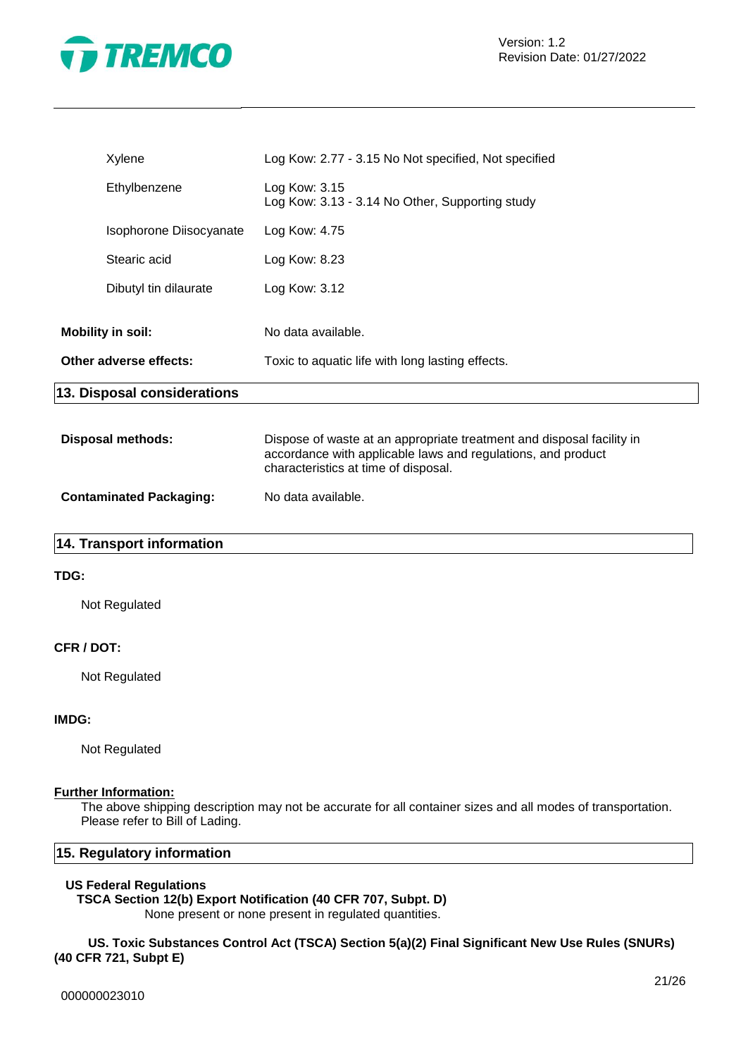

| Xylene                      |                         | Log Kow: 2.77 - 3.15 No Not specified, Not specified                                                                                  |
|-----------------------------|-------------------------|---------------------------------------------------------------------------------------------------------------------------------------|
| Ethylbenzene                |                         | Log Kow: 3.15<br>Log Kow: 3.13 - 3.14 No Other, Supporting study                                                                      |
|                             | Isophorone Diisocyanate | Log Kow: 4.75                                                                                                                         |
| Stearic acid                |                         | Log Kow: 8.23                                                                                                                         |
| Dibutyl tin dilaurate       |                         | Log Kow: 3.12                                                                                                                         |
| <b>Mobility in soil:</b>    |                         | No data available.                                                                                                                    |
| Other adverse effects:      |                         | Toxic to aquatic life with long lasting effects.                                                                                      |
| 13. Disposal considerations |                         |                                                                                                                                       |
| <b>Disposal methods:</b>    |                         | Dispose of waste at an appropriate treatment and disposal facility in<br>accordance with applicable laws and regulations, and product |

characteristics at time of disposal.

| <b>Contaminated Packaging:</b> | No data available. |
|--------------------------------|--------------------|

# **14. Transport information**

# **TDG:**

Not Regulated

### **CFR / DOT:**

Not Regulated

# **IMDG:**

Not Regulated

# **Further Information:**

The above shipping description may not be accurate for all container sizes and all modes of transportation. Please refer to Bill of Lading.

# **15. Regulatory information**

#### **US Federal Regulations**

# **TSCA Section 12(b) Export Notification (40 CFR 707, Subpt. D)**

None present or none present in regulated quantities.

**US. Toxic Substances Control Act (TSCA) Section 5(a)(2) Final Significant New Use Rules (SNURs) (40 CFR 721, Subpt E)**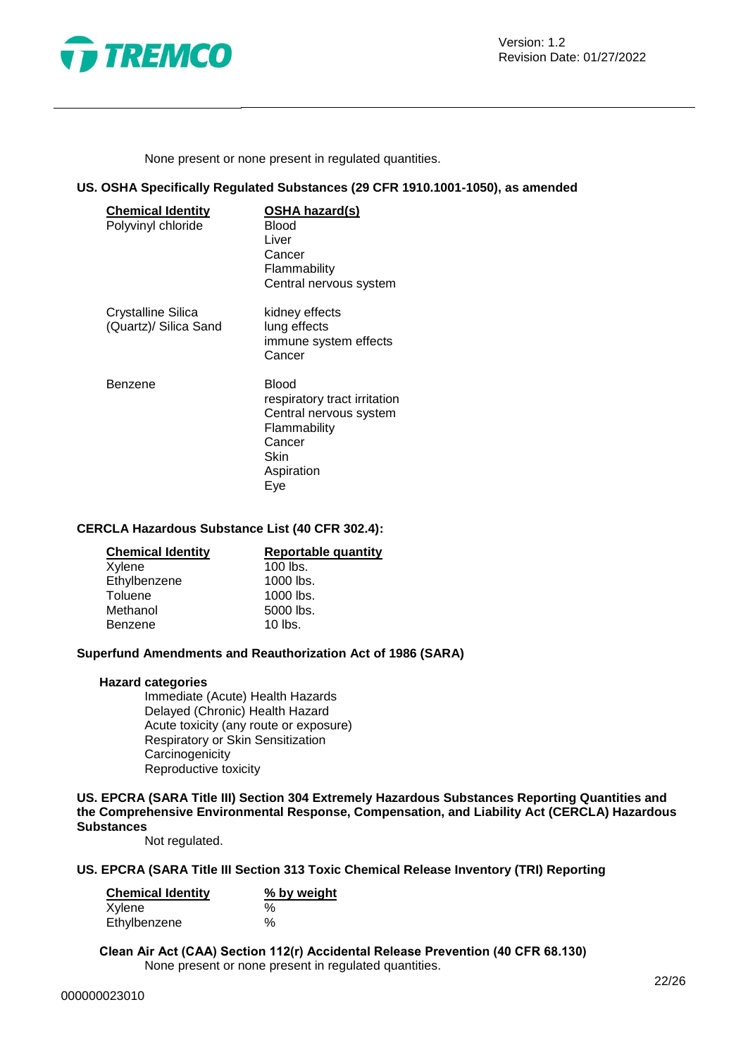

None present or none present in regulated quantities.

# **US. OSHA Specifically Regulated Substances (29 CFR 1910.1001-1050), as amended**

| <b>Chemical Identity</b><br>Polyvinyl chloride | OSHA hazard(s)<br>Blood<br>Liver<br>Cancer<br>Flammability<br>Central nervous system                                   |
|------------------------------------------------|------------------------------------------------------------------------------------------------------------------------|
| Crystalline Silica<br>(Quartz)/ Silica Sand    | kidney effects<br>lung effects<br>immune system effects<br>Cancer                                                      |
| Benzene                                        | Blood<br>respiratory tract irritation<br>Central nervous system<br>Flammability<br>Cancer<br>Skin<br>Aspiration<br>Eve |

# **CERCLA Hazardous Substance List (40 CFR 302.4):**

| <b>Chemical Identity</b> | <b>Reportable quantity</b> |
|--------------------------|----------------------------|
| Xylene                   | $100$ lbs.                 |
| Ethylbenzene             | 1000 lbs.                  |
| Toluene                  | $1000$ lbs.                |
| Methanol                 | 5000 lbs.                  |
| Benzene                  | $10$ lbs.                  |
|                          |                            |

# **Superfund Amendments and Reauthorization Act of 1986 (SARA)**

#### **Hazard categories**

Immediate (Acute) Health Hazards Delayed (Chronic) Health Hazard Acute toxicity (any route or exposure) Respiratory or Skin Sensitization **Carcinogenicity** Reproductive toxicity

**US. EPCRA (SARA Title III) Section 304 Extremely Hazardous Substances Reporting Quantities and the Comprehensive Environmental Response, Compensation, and Liability Act (CERCLA) Hazardous Substances**

Not regulated.

# **US. EPCRA (SARA Title III Section 313 Toxic Chemical Release Inventory (TRI) Reporting**

| <b>Chemical Identity</b> | % by weight |  |
|--------------------------|-------------|--|
| Xylene                   | $\%$        |  |
| Ethylbenzene             | $\%$        |  |

**Clean Air Act (CAA) Section 112(r) Accidental Release Prevention (40 CFR 68.130)** None present or none present in regulated quantities.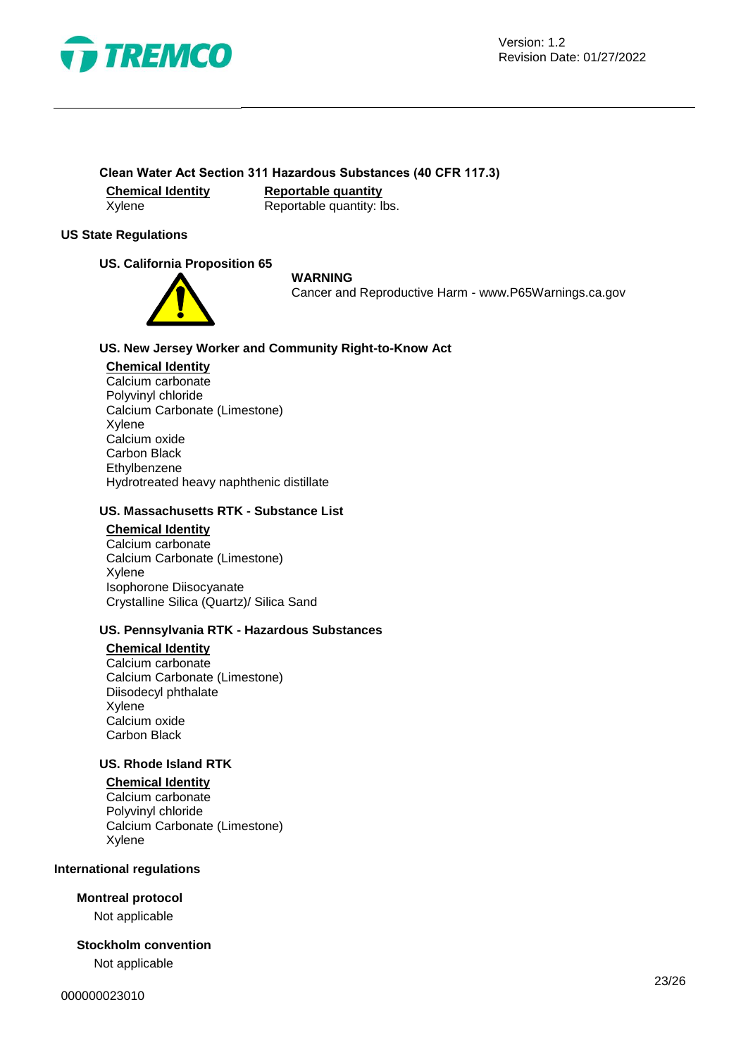

# **Clean Water Act Section 311 Hazardous Substances (40 CFR 117.3)**

**Chemical Identity Reportable quantity** Xylene Reportable quantity: lbs.

# **US State Regulations**

# **US. California Proposition 65**



**WARNING**

Cancer and Reproductive Harm - www.P65Warnings.ca.gov

# **US. New Jersey Worker and Community Right-to-Know Act**

#### **Chemical Identity**

Calcium carbonate Polyvinyl chloride Calcium Carbonate (Limestone) Xylene Calcium oxide Carbon Black Ethylbenzene Hydrotreated heavy naphthenic distillate

# **US. Massachusetts RTK - Substance List**

**Chemical Identity**

Calcium carbonate Calcium Carbonate (Limestone) Xylene Isophorone Diisocyanate Crystalline Silica (Quartz)/ Silica Sand

# **US. Pennsylvania RTK - Hazardous Substances**

# **Chemical Identity**

Calcium carbonate Calcium Carbonate (Limestone) Diisodecyl phthalate Xylene Calcium oxide Carbon Black

# **US. Rhode Island RTK**

# **Chemical Identity**

Calcium carbonate Polyvinyl chloride Calcium Carbonate (Limestone) Xylene

# **International regulations**

# **Montreal protocol**

Not applicable

# **Stockholm convention**

Not applicable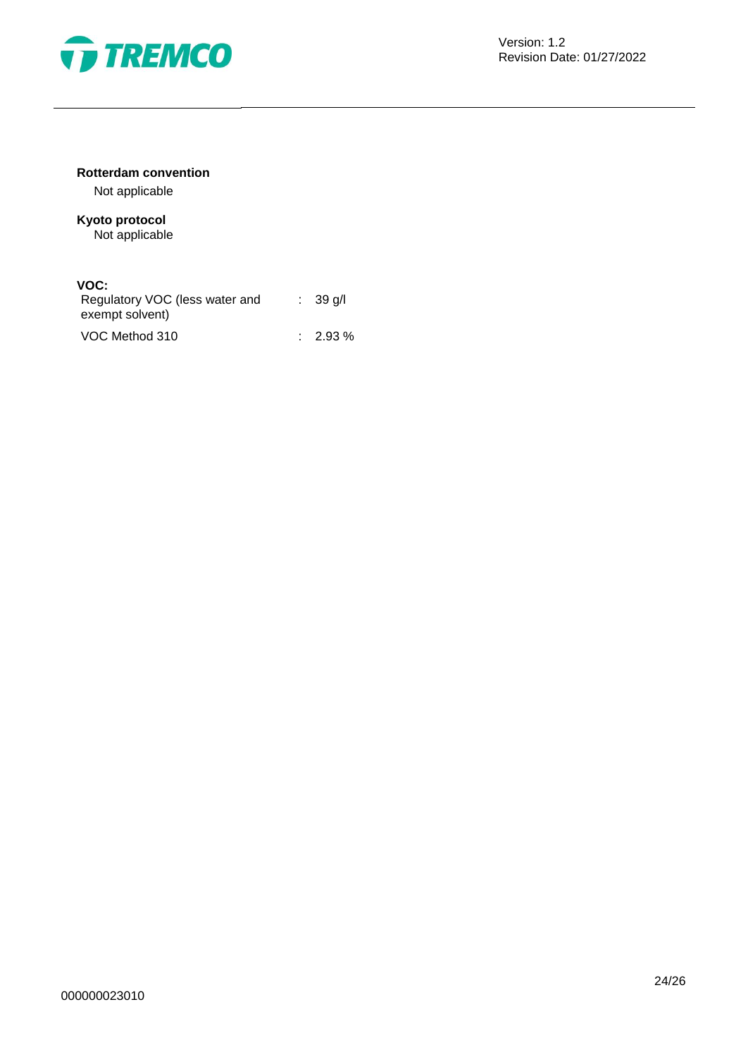

# **Rotterdam convention**

Not applicable

# **Kyoto protocol** Not applicable

# **VOC:**

| Regulatory VOC (less water and<br>exempt solvent) | $\therefore$ 39 g/l |
|---------------------------------------------------|---------------------|
| VOC Method 310                                    | $\therefore$ 2.93 % |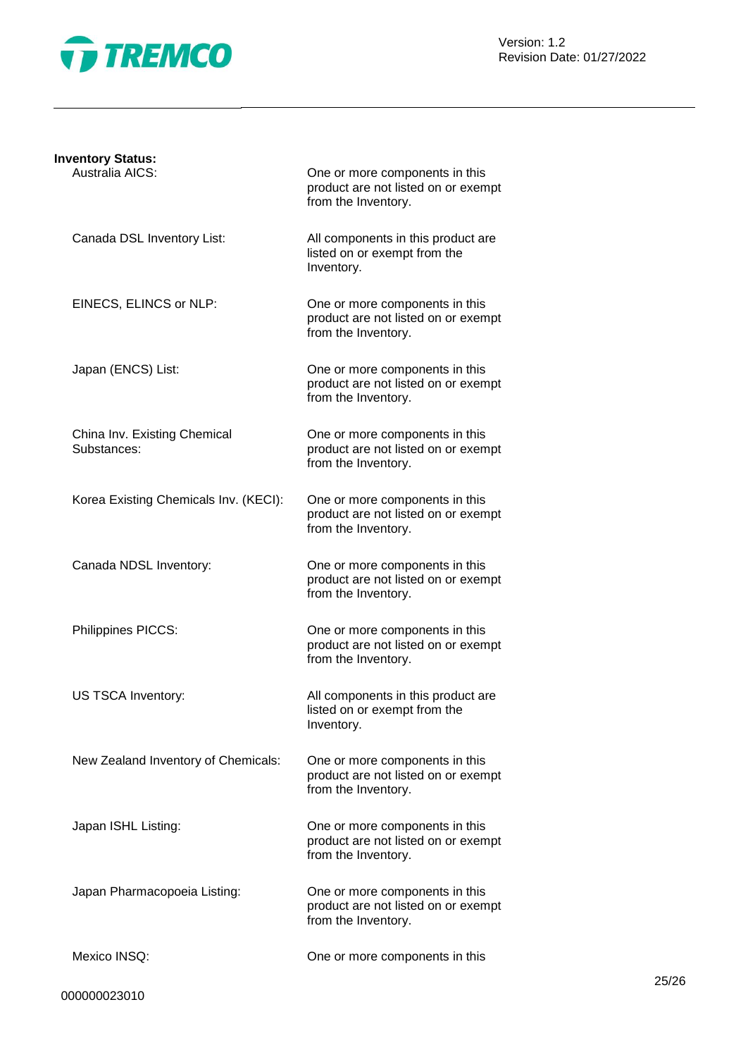

Version: 1.2 Revision Date: 01/27/2022

| <b>Inventory Status:</b>                    |                                                                                              |
|---------------------------------------------|----------------------------------------------------------------------------------------------|
| Australia AICS:                             | One or more components in this<br>product are not listed on or exempt<br>from the Inventory. |
| Canada DSL Inventory List:                  | All components in this product are<br>listed on or exempt from the<br>Inventory.             |
| EINECS, ELINCS or NLP:                      | One or more components in this<br>product are not listed on or exempt<br>from the Inventory. |
| Japan (ENCS) List:                          | One or more components in this<br>product are not listed on or exempt<br>from the Inventory. |
| China Inv. Existing Chemical<br>Substances: | One or more components in this<br>product are not listed on or exempt<br>from the Inventory. |
| Korea Existing Chemicals Inv. (KECI):       | One or more components in this<br>product are not listed on or exempt<br>from the Inventory. |
| Canada NDSL Inventory:                      | One or more components in this<br>product are not listed on or exempt<br>from the Inventory. |
| Philippines PICCS:                          | One or more components in this<br>product are not listed on or exempt<br>from the Inventory. |
| US TSCA Inventory:                          | All components in this product are<br>listed on or exempt from the<br>Inventory.             |
| New Zealand Inventory of Chemicals:         | One or more components in this<br>product are not listed on or exempt<br>from the Inventory. |
| Japan ISHL Listing:                         | One or more components in this<br>product are not listed on or exempt<br>from the Inventory. |
| Japan Pharmacopoeia Listing:                | One or more components in this<br>product are not listed on or exempt<br>from the Inventory. |
| Mexico INSQ:                                | One or more components in this                                                               |